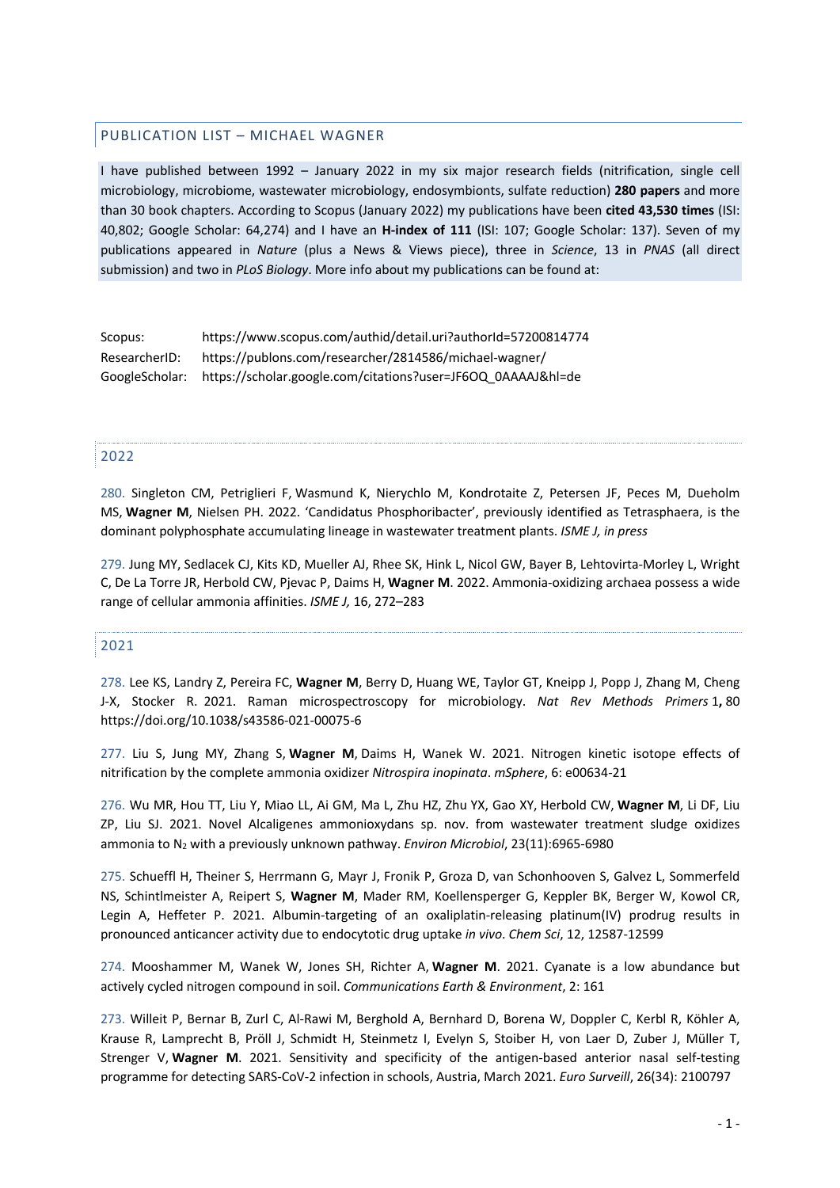### PUBLICATION LIST – MICHAEL WAGNER

I have published between 1992 – January 2022 in my six major research fields (nitrification, single cell microbiology, microbiome, wastewater microbiology, endosymbionts, sulfate reduction) **280 papers** and more than 30 book chapters. According to Scopus (January 2022) my publications have been **cited 43,530 times** (ISI: 40,802; Google Scholar: 64,274) and I have an **H-index of 111** (ISI: 107; Google Scholar: 137). Seven of my publications appeared in *Nature* (plus a News & Views piece), three in *Science*, 13 in *PNAS* (all direct submission) and two in *PLoS Biology*. More info about my publications can be found at:

| Scopus:        | https://www.scopus.com/authid/detail.uri?authorId=57200814774 |
|----------------|---------------------------------------------------------------|
| ResearcherID:  | https://publons.com/researcher/2814586/michael-wagner/        |
| GoogleScholar: | https://scholar.google.com/citations?user=JF6OQ_0AAAAJ&hl=de  |

### 2022

280. Singleton CM, Petriglieri F, Wasmund K, Nierychlo M, Kondrotaite Z, Petersen JF, Peces M, Dueholm MS, **Wagner M**, Nielsen PH. 2022. 'Candidatus Phosphoribacter', previously identified as Tetrasphaera, is the dominant polyphosphate accumulating lineage in wastewater treatment plants. *ISME J, in press*

279. Jung MY, Sedlacek CJ, Kits KD, Mueller AJ, Rhee SK, Hink L, Nicol GW, Bayer B, Lehtovirta-Morley L, Wright C, De La Torre JR, Herbold CW, Pjevac P, Daims H, **Wagner M**. 2022. Ammonia-oxidizing archaea possess a wide range of cellular ammonia affinities. *ISME J,* 16, 272–283

# 2021

278. Lee KS, Landry Z, Pereira FC, **Wagner M**, Berry D, Huang WE, Taylor GT, Kneipp J, Popp J, Zhang M, Cheng J-X, Stocker R. 2021. Raman microspectroscopy for microbiology. *Nat Rev Methods Primers* 1**,** 80 https://doi.org/10.1038/s43586-021-00075-6

277. Liu S, Jung MY, Zhang S, **Wagner M**, Daims H, Wanek W. 2021. Nitrogen kinetic isotope effects of nitrification by the complete ammonia oxidizer *Nitrospira inopinata*. *mSphere*, 6: e00634-21

276. Wu MR, Hou TT, Liu Y, Miao LL, Ai GM, Ma L, Zhu HZ, Zhu YX, Gao XY, Herbold CW, **Wagner M**, Li DF, Liu ZP, Liu SJ. 2021. Novel Alcaligenes ammonioxydans sp. nov. from wastewater treatment sludge oxidizes ammonia to N2 with a previously unknown pathway. *Environ Microbiol*, 23(11):6965-6980

275. Schueffl H, Theiner S, Herrmann G, Mayr J, Fronik P, Groza D, van Schonhooven S, Galvez L, Sommerfeld NS, Schintlmeister A, Reipert S, **Wagner M**, Mader RM, Koellensperger G, Keppler BK, Berger W, Kowol CR, Legin A, Heffeter P. 2021. Albumin-targeting of an oxaliplatin-releasing platinum(IV) prodrug results in pronounced anticancer activity due to endocytotic drug uptake *in vivo*. *Chem Sci*, 12, 12587-12599

274. Mooshammer M, Wanek W, Jones SH, Richter A, **Wagner M**. 2021. Cyanate is a low abundance but actively cycled nitrogen compound in soil. *Communications Earth & Environment*, 2: 161

273. Willeit P, Bernar B, Zurl C, Al-Rawi M, Berghold A, Bernhard D, Borena W, Doppler C, Kerbl R, Köhler A, Krause R, Lamprecht B, Pröll J, Schmidt H, Steinmetz I, Evelyn S, Stoiber H, von Laer D, Zuber J, Müller T, Strenger V, **Wagner M**. 2021. Sensitivity and specificity of the antigen-based anterior nasal self-testing programme for detecting SARS-CoV-2 infection in schools, Austria, March 2021. *Euro Surveill*, 26(34): 2100797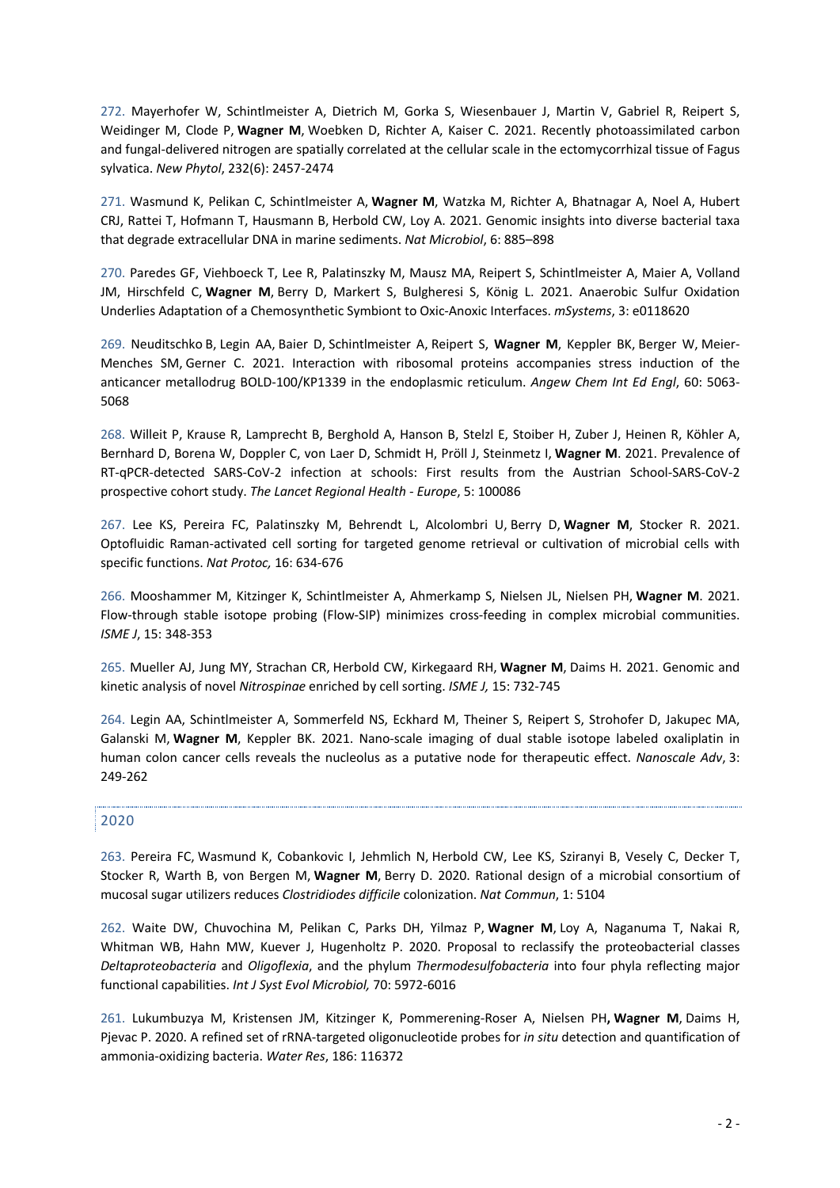272. Mayerhofer W, Schintlmeister A, Dietrich M, Gorka S, Wiesenbauer J, Martin V, Gabriel R, Reipert S, Weidinger M, Clode P, **Wagner M**, Woebken D, Richter A, Kaiser C. 2021. Recently photoassimilated carbon and fungal-delivered nitrogen are spatially correlated at the cellular scale in the ectomycorrhizal tissue of Fagus sylvatica. *New Phytol*, 232(6): 2457-2474

271. Wasmund K, Pelikan C, Schintlmeister A, **Wagner M**, Watzka M, Richter A, Bhatnagar A, Noel A, Hubert CRJ, Rattei T, Hofmann T, Hausmann B, Herbold CW, Loy A. 2021. Genomic insights into diverse bacterial taxa that degrade extracellular DNA in marine sediments. *Nat Microbiol*, 6: 885–898

270. Paredes GF, Viehboeck T, Lee R, Palatinszky M, Mausz MA, Reipert S, Schintlmeister A, Maier A, Volland JM, Hirschfeld C, **Wagner M**, Berry D, Markert S, Bulgheresi S, König L. 2021. Anaerobic Sulfur Oxidation Underlies Adaptation of a Chemosynthetic Symbiont to Oxic-Anoxic Interfaces. *mSystems*, 3: e0118620

269. Neuditschko B, Legin AA, Baier D, Schintlmeister A, Reipert S, **Wagner M**, Keppler BK, Berger W, Meier-Menches SM, Gerner C. 2021. Interaction with ribosomal proteins accompanies stress induction of the anticancer metallodrug BOLD-100/KP1339 in the endoplasmic reticulum. *Angew Chem Int Ed Engl*, 60: 5063- 5068

268. Willeit P, Krause R, Lamprecht B, Berghold A, Hanson B, Stelzl E, Stoiber H, Zuber J, Heinen R, Köhler A, Bernhard D, Borena W, Doppler C, von Laer D, Schmidt H, Pröll J, Steinmetz I, **Wagner M**. 2021. Prevalence of RT-qPCR-detected SARS-CoV-2 infection at schools: First results from the Austrian School-SARS-CoV-2 prospective cohort study. *The Lancet Regional Health - Europe*, 5: 100086

267. Lee KS, Pereira FC, Palatinszky M, Behrendt L, Alcolombri U, Berry D, **Wagner M**, Stocker R. 2021. Optofluidic Raman-activated cell sorting for targeted genome retrieval or cultivation of microbial cells with specific functions. *Nat Protoc,* 16: 634-676

266. Mooshammer M, Kitzinger K, Schintlmeister A, Ahmerkamp S, Nielsen JL, Nielsen PH, **Wagner M**. 2021. Flow-through stable isotope probing (Flow-SIP) minimizes cross-feeding in complex microbial communities. *ISME J*, 15: 348-353

265. Mueller AJ, Jung MY, Strachan CR, Herbold CW, Kirkegaard RH, **Wagner M**, Daims H. 2021. Genomic and kinetic analysis of novel *Nitrospinae* enriched by cell sorting. *ISME J,* 15: 732-745

264. Legin AA, Schintlmeister A, Sommerfeld NS, Eckhard M, Theiner S, Reipert S, Strohofer D, Jakupec MA, Galanski M, **Wagner M**, Keppler BK. 2021. Nano-scale imaging of dual stable isotope labeled oxaliplatin in human colon cancer cells reveals the nucleolus as a putative node for therapeutic effect. *Nanoscale Adv*, 3: 249-262

## 2020

263. Pereira FC, Wasmund K, Cobankovic I, Jehmlich N, Herbold CW, Lee KS, Sziranyi B, Vesely C, Decker T, Stocker R, Warth B, von Bergen M, **Wagner M**, Berry D. 2020. Rational design of a microbial consortium of mucosal sugar utilizers reduces *Clostridiodes difficile* colonization. *Nat Commun*, 1: 5104

262. Waite DW, Chuvochina M, Pelikan C, Parks DH, Yilmaz P, **Wagner M**, Loy A, Naganuma T, Nakai R, Whitman WB, Hahn MW, Kuever J, Hugenholtz P. 2020. Proposal to reclassify the proteobacterial classes *Deltaproteobacteria* and *Oligoflexia*, and the phylum *Thermodesulfobacteria* into four phyla reflecting major functional capabilities. *Int J Syst Evol Microbiol,* 70: 5972-6016

261. Lukumbuzya M, Kristensen JM, Kitzinger K, Pommerening-Roser A, Nielsen PH**, Wagner M**, Daims H, Pjevac P. 2020. A refined set of rRNA-targeted oligonucleotide probes for *in situ* detection and quantification of ammonia-oxidizing bacteria. *Water Res*, 186: 116372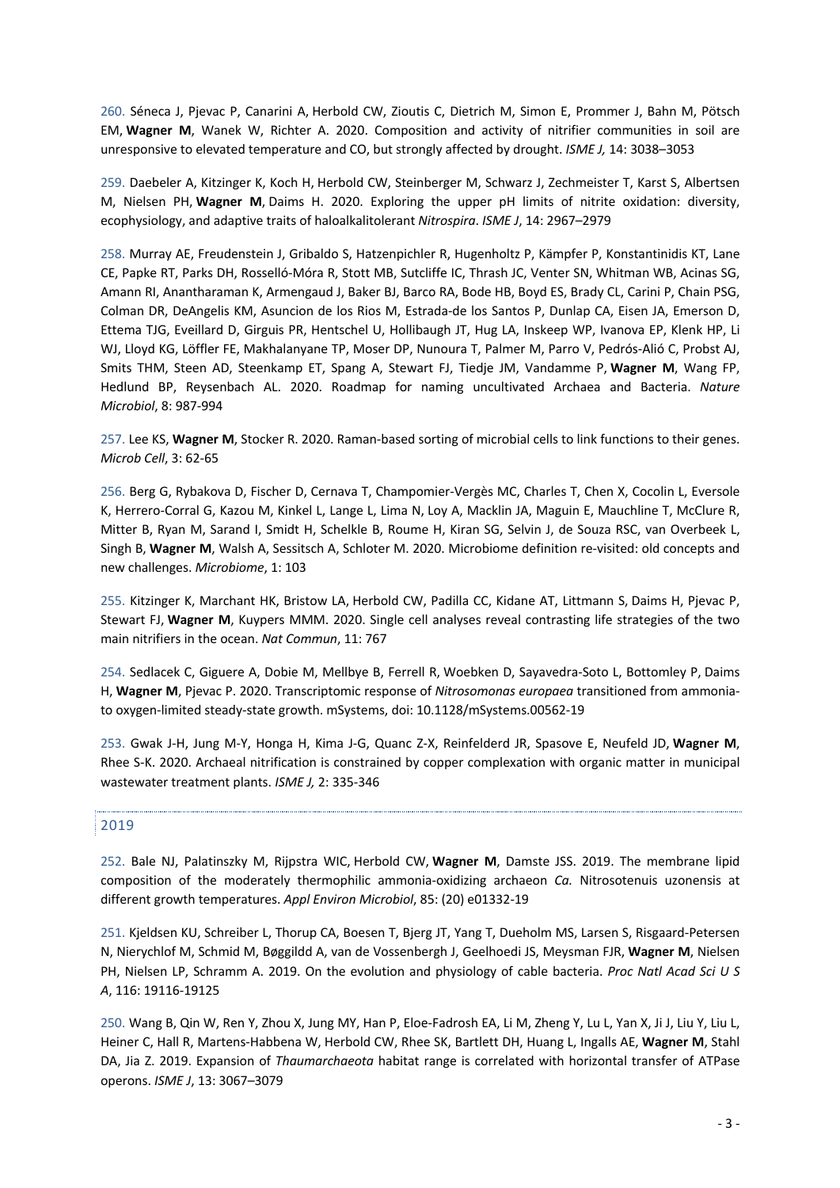260. Séneca J, Pjevac P, Canarini A, Herbold CW, Zioutis C, Dietrich M, Simon E, Prommer J, Bahn M, Pötsch EM, **Wagner M**, Wanek W, Richter A. 2020. Composition and activity of nitrifier communities in soil are unresponsive to elevated temperature and CO, but strongly affected by drought. *ISME J,* 14: 3038–3053

259. Daebeler A, Kitzinger K, Koch H, Herbold CW, Steinberger M, Schwarz J, Zechmeister T, Karst S, Albertsen M, Nielsen PH, **Wagner M**, Daims H. 2020. Exploring the upper pH limits of nitrite oxidation: diversity, ecophysiology, and adaptive traits of haloalkalitolerant *Nitrospira*. *ISME J*, 14: 2967–2979

258. Murray AE, Freudenstein J, Gribaldo S, Hatzenpichler R, Hugenholtz P, Kämpfer P, Konstantinidis KT, Lane CE, Papke RT, Parks DH, Rosselló-Móra R, Stott MB, Sutcliffe IC, Thrash JC, Venter SN, Whitman WB, Acinas SG, Amann RI, Anantharaman K, Armengaud J, Baker BJ, Barco RA, Bode HB, Boyd ES, Brady CL, Carini P, Chain PSG, Colman DR, DeAngelis KM, Asuncion de los Rios M, Estrada-de los Santos P, Dunlap CA, Eisen JA, Emerson D, Ettema TJG, Eveillard D, Girguis PR, Hentschel U, Hollibaugh JT, Hug LA, Inskeep WP, Ivanova EP, Klenk HP, Li WJ, Lloyd KG, Löffler FE, Makhalanyane TP, Moser DP, Nunoura T, Palmer M, Parro V, Pedrós-Alió C, Probst AJ, Smits THM, Steen AD, Steenkamp ET, Spang A, Stewart FJ, Tiedje JM, Vandamme P, **Wagner M**, Wang FP, Hedlund BP, Reysenbach AL. 2020. Roadmap for naming uncultivated Archaea and Bacteria. *Nature Microbiol*, 8: 987-994

257. Lee KS, **Wagner M**, Stocker R. 2020. Raman-based sorting of microbial cells to link functions to their genes. *Microb Cell*, 3: 62-65

256. Berg G, Rybakova D, Fischer D, Cernava T, Champomier-Vergès MC, Charles T, Chen X, Cocolin L, Eversole K, Herrero-Corral G, Kazou M, Kinkel L, Lange L, Lima N, Loy A, Macklin JA, Maguin E, Mauchline T, McClure R, Mitter B, Ryan M, Sarand I, Smidt H, Schelkle B, Roume H, Kiran SG, Selvin J, de Souza RSC, van Overbeek L, Singh B, **Wagner M**, Walsh A, Sessitsch A, Schloter M. 2020. Microbiome definition re-visited: old concepts and new challenges. *Microbiome*, 1: 103

255. Kitzinger K, Marchant HK, Bristow LA, Herbold CW, Padilla CC, Kidane AT, Littmann S, Daims H, Pjevac P, Stewart FJ, **Wagner M**, Kuypers MMM. 2020. Single cell analyses reveal contrasting life strategies of the two main nitrifiers in the ocean. *Nat Commun*, 11: 767

254. Sedlacek C, Giguere A, Dobie M, Mellbye B, Ferrell R, Woebken D, Sayavedra-Soto L, Bottomley P, Daims H, **Wagner M**, Pjevac P. 2020. Transcriptomic response of *Nitrosomonas europaea* transitioned from ammoniato oxygen-limited steady-state growth. mSystems, doi: 10.1128/mSystems.00562-19

253. Gwak J-H, Jung M-Y, Honga H, Kima J-G, Quanc Z-X, Reinfelderd JR, Spasove E, Neufeld JD, **Wagner M**, Rhee S-K. 2020. Archaeal nitrification is constrained by copper complexation with organic matter in municipal wastewater treatment plants. *ISME J,* 2: 335-346

### 2019

252. Bale NJ, Palatinszky M, Rijpstra WIC, Herbold CW, **Wagner M**, Damste JSS. 2019. The membrane lipid composition of the moderately thermophilic ammonia-oxidizing archaeon *Ca.* Nitrosotenuis uzonensis at different growth temperatures. *Appl Environ Microbiol*, 85: (20) e01332-19

251. Kjeldsen KU, Schreiber L, Thorup CA, Boesen T, Bjerg JT, Yang T, Dueholm MS, Larsen S, Risgaard-Petersen N, Nierychlof M, Schmid M, Bøggildd A, van de Vossenbergh J, Geelhoedi JS, Meysman FJR, **Wagner M**, Nielsen PH, Nielsen LP, Schramm A. 2019. On the evolution and physiology of cable bacteria. *Proc Natl Acad Sci U S A*, 116: 19116-19125

250. Wang B, Qin W, Ren Y, Zhou X, Jung MY, Han P, Eloe-Fadrosh EA, Li M, Zheng Y, Lu L, Yan X, Ji J, Liu Y, Liu L, Heiner C, Hall R, Martens-Habbena W, Herbold CW, Rhee SK, Bartlett DH, Huang L, Ingalls AE, **Wagner M**, Stahl DA, Jia Z. 2019. Expansion of *Thaumarchaeota* habitat range is correlated with horizontal transfer of ATPase operons. *ISME J*, 13: 3067–3079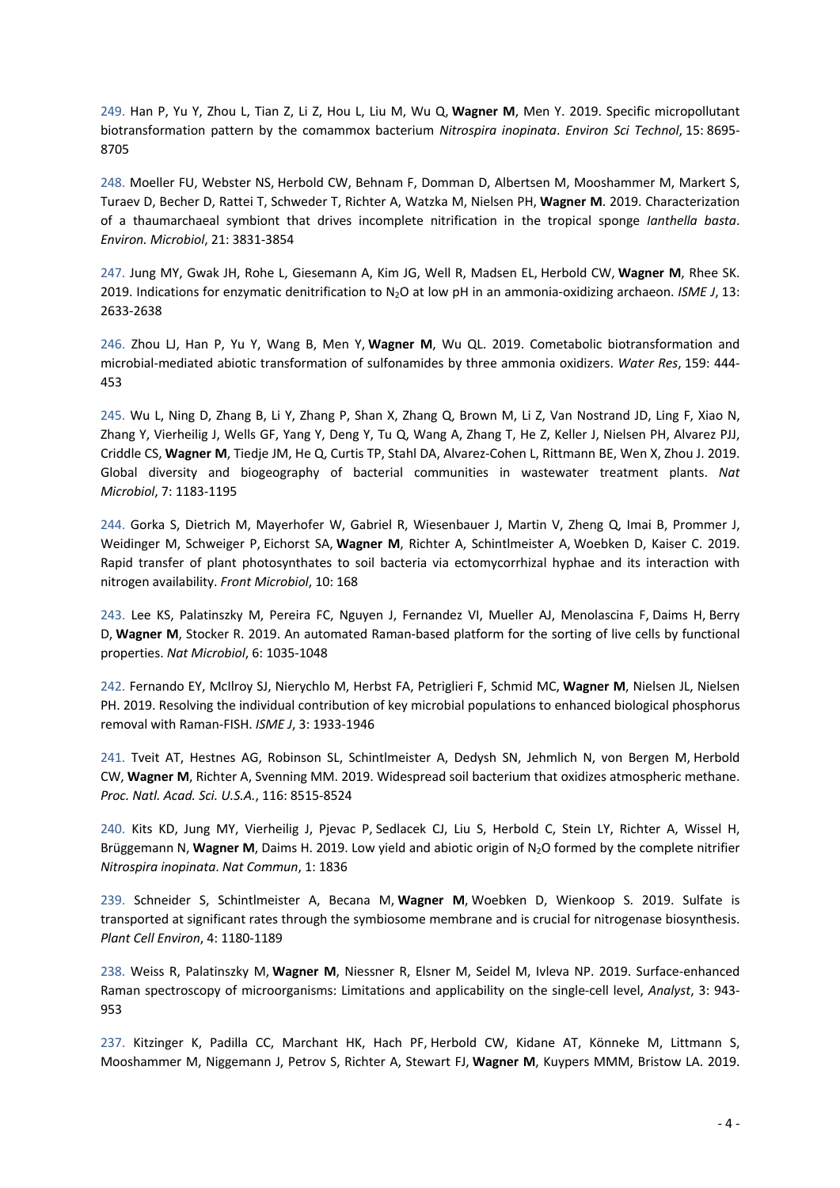249. Han P, Yu Y, Zhou L, Tian Z, Li Z, Hou L, Liu M, Wu Q, **Wagner M**, Men Y. 2019. Specific micropollutant biotransformation pattern by the comammox bacterium *Nitrospira inopinata*. *Environ Sci Technol*, 15: 8695- 8705

248. Moeller FU, Webster NS, Herbold CW, Behnam F, Domman D, Albertsen M, Mooshammer M, Markert S, Turaev D, Becher D, Rattei T, Schweder T, Richter A, Watzka M, Nielsen PH, **Wagner M**. 2019. Characterization of a thaumarchaeal symbiont that drives incomplete nitrification in the tropical sponge *Ianthella basta*. *Environ. Microbiol*, 21: 3831-3854

247. Jung MY, Gwak JH, Rohe L, Giesemann A, Kim JG, Well R, Madsen EL, Herbold CW, **Wagner M**, Rhee SK. 2019. Indications for enzymatic denitrification to N2O at low pH in an ammonia-oxidizing archaeon. *ISME J*, 13: 2633-2638

246. Zhou LJ, Han P, Yu Y, Wang B, Men Y, **Wagner M**, Wu QL. 2019. Cometabolic biotransformation and microbial-mediated abiotic transformation of sulfonamides by three ammonia oxidizers. *Water Res*, 159: 444- 453

245. Wu L, Ning D, Zhang B, Li Y, Zhang P, Shan X, Zhang Q, Brown M, Li Z, Van Nostrand JD, Ling F, Xiao N, Zhang Y, Vierheilig J, Wells GF, Yang Y, Deng Y, Tu Q, Wang A, Zhang T, He Z, Keller J, Nielsen PH, Alvarez PJJ, Criddle CS, **Wagner M**, Tiedje JM, He Q, Curtis TP, Stahl DA, Alvarez-Cohen L, Rittmann BE, Wen X, Zhou J. 2019. Global diversity and biogeography of bacterial communities in wastewater treatment plants. *Nat Microbiol*, 7: 1183-1195

244. Gorka S, Dietrich M, Mayerhofer W, Gabriel R, Wiesenbauer J, Martin V, Zheng Q, Imai B, Prommer J, Weidinger M, Schweiger P, Eichorst SA, **Wagner M**, Richter A, Schintlmeister A, Woebken D, Kaiser C. 2019. Rapid transfer of plant photosynthates to soil bacteria via ectomycorrhizal hyphae and its interaction with nitrogen availability. *Front Microbiol*, 10: 168

243. Lee KS, Palatinszky M, Pereira FC, Nguyen J, Fernandez VI, Mueller AJ, Menolascina F, Daims H, Berry D, **Wagner M**, Stocker R. 2019. An automated Raman-based platform for the sorting of live cells by functional properties. *Nat Microbiol*, 6: 1035-1048

242. Fernando EY, McIlroy SJ, Nierychlo M, Herbst FA, Petriglieri F, Schmid MC, **Wagner M**, Nielsen JL, Nielsen PH. 2019. Resolving the individual contribution of key microbial populations to enhanced biological phosphorus removal with Raman-FISH. *ISME J*, 3: 1933-1946

241. Tveit AT, Hestnes AG, Robinson SL, Schintlmeister A, Dedysh SN, Jehmlich N, von Bergen M, Herbold CW, **Wagner M**, Richter A, Svenning MM. 2019. Widespread soil bacterium that oxidizes atmospheric methane. *Proc. Natl. Acad. Sci. U.S.A.*, 116: 8515-8524

240. Kits KD, Jung MY, Vierheilig J, Pjevac P, Sedlacek CJ, Liu S, Herbold C, Stein LY, Richter A, Wissel H, Brüggemann N, Wagner M, Daims H. 2019. Low yield and abiotic origin of N<sub>2</sub>O formed by the complete nitrifier *Nitrospira inopinata*. *Nat Commun*, 1: 1836

239. Schneider S, Schintlmeister A, Becana M, **Wagner M**, Woebken D, Wienkoop S. 2019. Sulfate is transported at significant rates through the symbiosome membrane and is crucial for nitrogenase biosynthesis. *Plant Cell Environ*, 4: 1180-1189

238. Weiss R, Palatinszky M, **Wagner M**, Niessner R, Elsner M, Seidel M, Ivleva NP. 2019. Surface-enhanced Raman spectroscopy of microorganisms: Limitations and applicability on the single-cell level, *Analyst*, 3: 943- 953

237. Kitzinger K, Padilla CC, Marchant HK, Hach PF, Herbold CW, Kidane AT, Könneke M, Littmann S, Mooshammer M, Niggemann J, Petrov S, Richter A, Stewart FJ, **Wagner M**, Kuypers MMM, Bristow LA. 2019.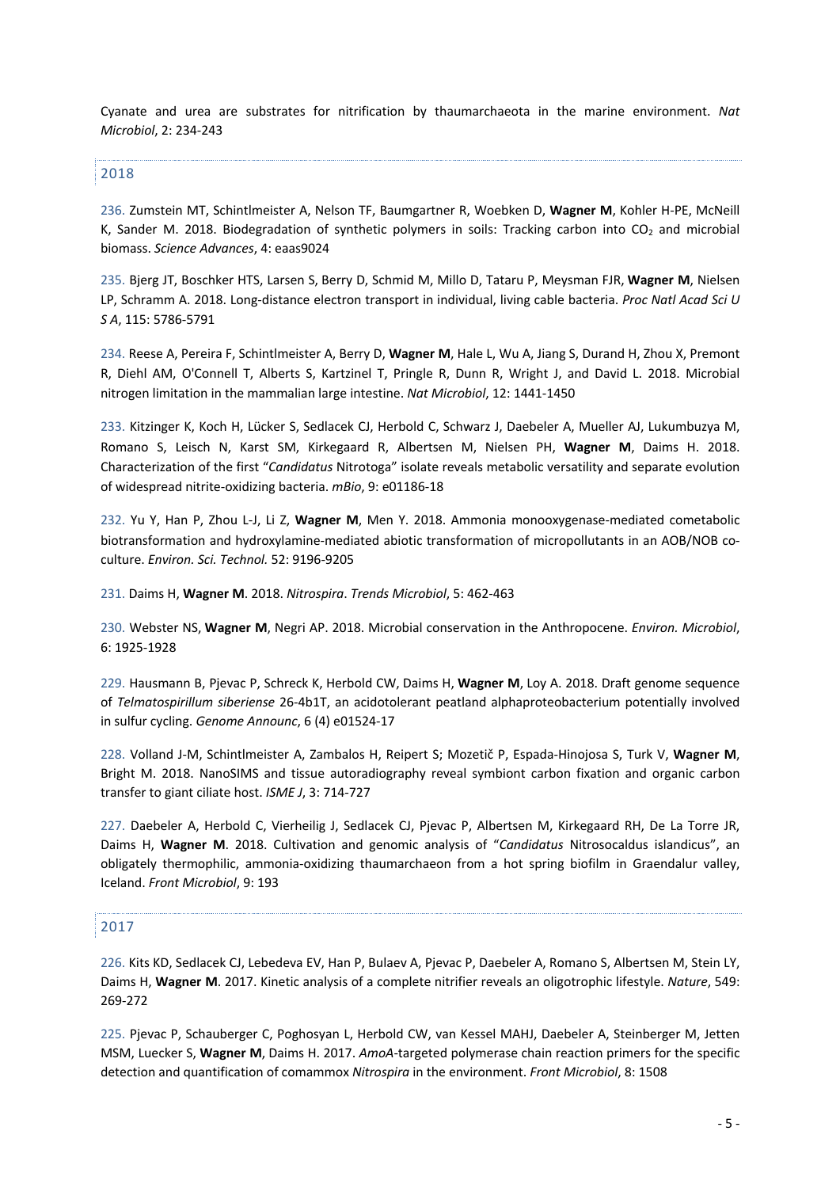Cyanate and urea are substrates for nitrification by thaumarchaeota in the marine environment. *Nat Microbiol*, 2: 234-243

2018

236. Zumstein MT, Schintlmeister A, Nelson TF, Baumgartner R, Woebken D, **Wagner M**, Kohler H-PE, McNeill K, Sander M. 2018. Biodegradation of synthetic polymers in soils: Tracking carbon into CO<sub>2</sub> and microbial biomass. *Science Advances*, 4: eaas9024

235. Bjerg JT, Boschker HTS, Larsen S, Berry D, Schmid M, Millo D, Tataru P, Meysman FJR, **Wagner M**, Nielsen LP, Schramm A. 2018. Long-distance electron transport in individual, living cable bacteria. *Proc Natl Acad Sci U S A*, 115: 5786-5791

234. Reese A, Pereira F, Schintlmeister A, Berry D, **Wagner M**, Hale L, Wu A, Jiang S, Durand H, Zhou X, Premont R, Diehl AM, O'Connell T, Alberts S, Kartzinel T, Pringle R, Dunn R, Wright J, and David L. 2018. Microbial nitrogen limitation in the mammalian large intestine. *Nat Microbiol*, 12: 1441-1450

233. Kitzinger K, Koch H, Lücker S, Sedlacek CJ, Herbold C, Schwarz J, Daebeler A, Mueller AJ, Lukumbuzya M, Romano S, Leisch N, Karst SM, Kirkegaard R, Albertsen M, Nielsen PH, **Wagner M**, Daims H. 2018. Characterization of the first "*Candidatus* Nitrotoga" isolate reveals metabolic versatility and separate evolution of widespread nitrite-oxidizing bacteria. *mBio*, 9: e01186-18

232. Yu Y, Han P, Zhou L-J, Li Z, **Wagner M**, Men Y. 2018. Ammonia monooxygenase-mediated cometabolic biotransformation and hydroxylamine-mediated abiotic transformation of micropollutants in an AOB/NOB coculture. *Environ. Sci. Technol.* 52: 9196-9205

231. Daims H, **Wagner M**. 2018. *Nitrospira*. *Trends Microbiol*, 5: 462-463

230. Webster NS, **Wagner M**, Negri AP. 2018. Microbial conservation in the Anthropocene. *Environ. Microbiol*, 6: 1925-1928

229. Hausmann B, Pjevac P, Schreck K, Herbold CW, Daims H, **Wagner M**, Loy A. 2018. Draft genome sequence of *Telmatospirillum siberiense* 26-4b1T, an acidotolerant peatland alphaproteobacterium potentially involved in sulfur cycling. *Genome Announc*, 6 (4) e01524-17

228. Volland J-M, Schintlmeister A, Zambalos H, Reipert S; Mozetič P, Espada-Hinojosa S, Turk V, **Wagner M**, Bright M. 2018. NanoSIMS and tissue autoradiography reveal symbiont carbon fixation and organic carbon transfer to giant ciliate host. *ISME J*, 3: 714-727

227. Daebeler A, Herbold C, Vierheilig J, Sedlacek CJ, Pjevac P, Albertsen M, Kirkegaard RH, De La Torre JR, Daims H, **Wagner M**. 2018. Cultivation and genomic analysis of "*Candidatus* Nitrosocaldus islandicus", an obligately thermophilic, ammonia-oxidizing thaumarchaeon from a hot spring biofilm in Graendalur valley, Iceland. *Front Microbiol*, 9: 193

# 2017

226. Kits KD, Sedlacek CJ, Lebedeva EV, Han P, Bulaev A, Pjevac P, Daebeler A, Romano S, Albertsen M, Stein LY, Daims H, **Wagner M**. 2017. Kinetic analysis of a complete nitrifier reveals an oligotrophic lifestyle. *Nature*, 549: 269-272

225. Pjevac P, Schauberger C, Poghosyan L, Herbold CW, van Kessel MAHJ, Daebeler A, Steinberger M, Jetten MSM, Luecker S, **Wagner M**, Daims H. 2017. *AmoA*-targeted polymerase chain reaction primers for the specific detection and quantification of comammox *Nitrospira* in the environment. *Front Microbiol*, 8: 1508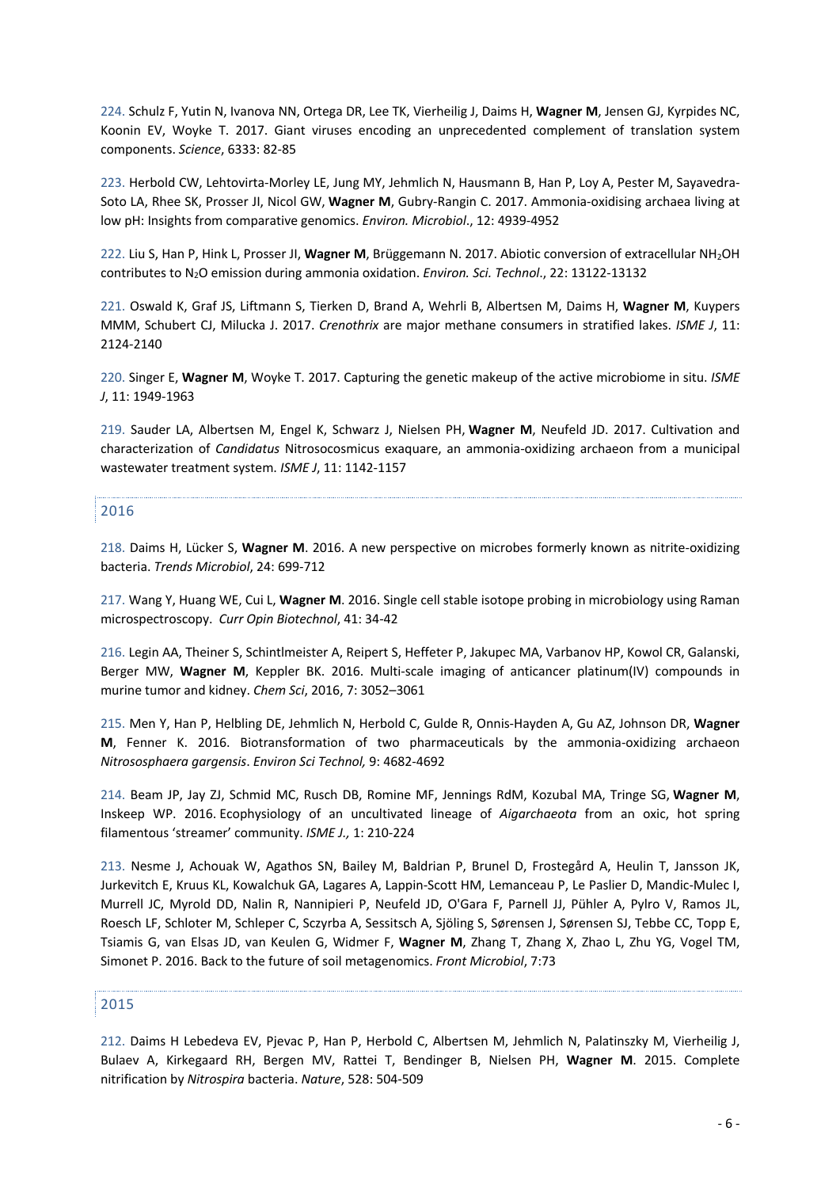224. Schulz F, Yutin N, Ivanova NN, Ortega DR, Lee TK, Vierheilig J, Daims H, **Wagner M**, Jensen GJ, Kyrpides NC, Koonin EV, Woyke T. 2017. Giant viruses encoding an unprecedented complement of translation system components. *Science*, 6333: 82-85

223. Herbold CW, Lehtovirta-Morley LE, Jung MY, Jehmlich N, Hausmann B, Han P, Loy A, Pester M, Sayavedra-Soto LA, Rhee SK, Prosser JI, Nicol GW, **Wagner M**, Gubry-Rangin C. 2017. Ammonia-oxidising archaea living at low pH: Insights from comparative genomics. *Environ. Microbiol*., 12: 4939-4952

222. Liu S, Han P, Hink L, Prosser JI, **Wagner M**, Brüggemann N. 2017. Abiotic conversion of extracellular NH2OH contributes to N2O emission during ammonia oxidation. *Environ. Sci. Technol*., 22: 13122-13132

221. Oswald K, Graf JS, Liftmann S, Tierken D, Brand A, Wehrli B, Albertsen M, Daims H, **Wagner M**, Kuypers MMM, Schubert CJ, Milucka J. 2017. *Crenothrix* are major methane consumers in stratified lakes. *ISME J*, 11: 2124-2140

220. Singer E, **Wagner M**, Woyke T. 2017. Capturing the genetic makeup of the active microbiome in situ. *ISME J*, 11: 1949-1963

219. Sauder LA, Albertsen M, Engel K, Schwarz J, Nielsen PH, **Wagner M**, Neufeld JD. 2017. Cultivation and characterization of *Candidatus* Nitrosocosmicus exaquare, an ammonia-oxidizing archaeon from a municipal wastewater treatment system. *ISME J*, 11: 1142-1157

### 2016

218. Daims H, Lücker S, **Wagner M**. 2016. A new perspective on microbes formerly known as nitrite-oxidizing bacteria. *Trends Microbiol*, 24: 699-712

217. Wang Y, Huang WE, Cui L, **Wagner M**. 2016. Single cell stable isotope probing in microbiology using Raman microspectroscopy. *Curr Opin Biotechnol*, 41: 34-42

216. Legin AA, Theiner S, Schintlmeister A, Reipert S, Heffeter P, Jakupec MA, Varbanov HP, Kowol CR, Galanski, Berger MW, **Wagner M**, Keppler BK. 2016. Multi-scale imaging of anticancer platinum(IV) compounds in murine tumor and kidney. *Chem Sci*, 2016, 7: 3052–3061

215. Men Y, Han P, Helbling DE, Jehmlich N, Herbold C, Gulde R, Onnis-Hayden A, Gu AZ, Johnson DR, **Wagner M**, Fenner K. 2016. Biotransformation of two pharmaceuticals by the ammonia-oxidizing archaeon *Nitrososphaera gargensis*. *Environ Sci Technol,* 9: 4682-4692

214. Beam JP, Jay ZJ, Schmid MC, Rusch DB, Romine MF, Jennings RdM, Kozubal MA, Tringe SG, **Wagner M**, Inskeep WP. 2016. Ecophysiology of an uncultivated lineage of *Aigarchaeota* from an oxic, hot spring filamentous 'streamer' community. *ISME J.,* 1: 210-224

213. Nesme J, Achouak W, Agathos SN, Bailey M, Baldrian P, Brunel D, Frostegård A, Heulin T, Jansson JK, Jurkevitch E, Kruus KL, Kowalchuk GA, Lagares A, Lappin-Scott HM, Lemanceau P, Le Paslier D, Mandic-Mulec I, Murrell JC, Myrold DD, Nalin R, Nannipieri P, Neufeld JD, O'Gara F, Parnell JJ, Pühler A, Pylro V, Ramos JL, Roesch LF, Schloter M, Schleper C, Sczyrba A, Sessitsch A, Sjöling S, Sørensen J, Sørensen SJ, Tebbe CC, Topp E, Tsiamis G, van Elsas JD, van Keulen G, Widmer F, **Wagner M**, Zhang T, Zhang X, Zhao L, Zhu YG, Vogel TM, Simonet P. 2016. Back to the future of soil metagenomics. *Front Microbiol*, 7:73

### 2015

212. Daims H Lebedeva EV, Pjevac P, Han P, Herbold C, Albertsen M, Jehmlich N, Palatinszky M, Vierheilig J, Bulaev A, Kirkegaard RH, Bergen MV, Rattei T, Bendinger B, Nielsen PH, **Wagner M**. 2015. Complete nitrification by *Nitrospira* bacteria. *Nature*, 528: 504-509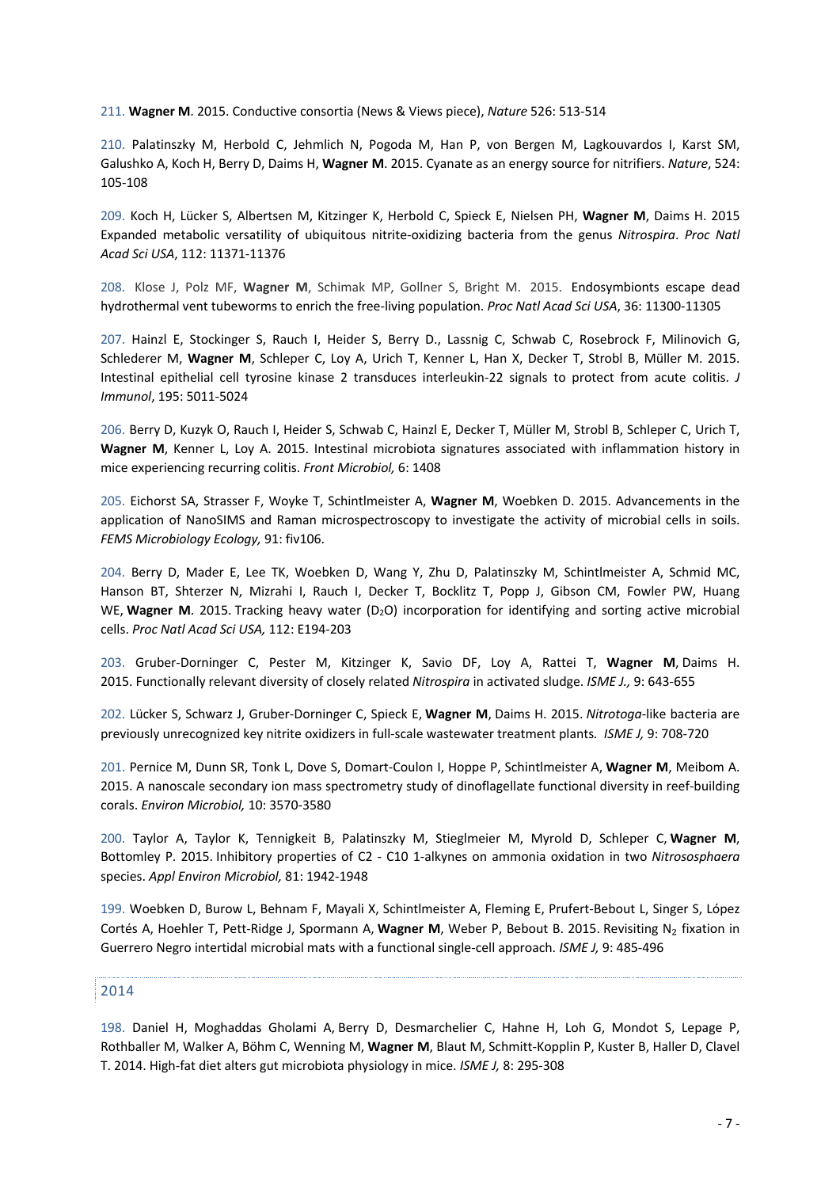211. **Wagner M**. 2015. Conductive consortia (News & Views piece), *Nature* 526: 513-514

210. Palatinszky M, Herbold C, Jehmlich N, Pogoda M, Han P, von Bergen M, Lagkouvardos I, Karst SM, Galushko A, Koch H, Berry D, Daims H, **Wagner M**. 2015. Cyanate as an energy source for nitrifiers. *Nature*, 524: 105-108

209. Koch H, Lücker S, Albertsen M, Kitzinger K, Herbold C, Spieck E, Nielsen PH, **Wagner M**, Daims H. 2015 Expanded metabolic versatility of ubiquitous nitrite-oxidizing bacteria from the genus *Nitrospira*. *Proc Natl Acad Sci USA*, 112: 11371-11376

208. Klose J, Polz MF, **Wagner M**, Schimak MP, Gollner S, Bright M. 2015. Endosymbionts escape dead hydrothermal vent tubeworms to enrich the free-living population. *Proc Natl Acad Sci USA*, 36: 11300-11305

207. Hainzl E, Stockinger S, Rauch I, Heider S, Berry D., Lassnig C, Schwab C, Rosebrock F, Milinovich G, Schlederer M, **Wagner M**, Schleper C, Loy A, Urich T, Kenner L, Han X, Decker T, Strobl B, Müller M. 2015. Intestinal epithelial cell tyrosine kinase 2 transduces interleukin-22 signals to protect from acute colitis. *J Immunol*, 195: 5011-5024

206. Berry D, Kuzyk O, Rauch I, Heider S, Schwab C, Hainzl E, Decker T, Müller M, Strobl B, Schleper C, Urich T, **Wagner M**, Kenner L, Loy A. 2015. Intestinal microbiota signatures associated with inflammation history in mice experiencing recurring colitis. *Front Microbiol,* 6: 1408

205. Eichorst SA, Strasser F, Woyke T, Schintlmeister A, **Wagner M**, Woebken D. 2015. Advancements in the application of NanoSIMS and Raman microspectroscopy to investigate the activity of microbial cells in soils. *FEMS Microbiology Ecology,* 91: fiv106.

204. Berry D, Mader E, Lee TK, Woebken D, Wang Y, Zhu D, Palatinszky M, Schintlmeister A, Schmid MC, Hanson BT, Shterzer N, Mizrahi I, Rauch I, Decker T, Bocklitz T, Popp J, Gibson CM, Fowler PW, Huang WE, Wagner M. 2015. Tracking heavy water (D<sub>2</sub>O) incorporation for identifying and sorting active microbial cells. *Proc Natl Acad Sci USA,* 112: E194-203

203. Gruber-Dorninger C, Pester M, Kitzinger K, Savio DF, Loy A, Rattei T, **Wagner M**, Daims H. 2015. Functionally relevant diversity of closely related *Nitrospira* in activated sludge. *ISME J.,* 9: 643-655

202. Lücker S, Schwarz J, Gruber-Dorninger C, Spieck E, **Wagner M**, Daims H. 2015. *Nitrotoga*-like bacteria are previously unrecognized key nitrite oxidizers in full-scale wastewater treatment plants*. ISME J,* 9: 708-720

201. Pernice M, Dunn SR, Tonk L, Dove S, Domart-Coulon I, Hoppe P, Schintlmeister A, **Wagner M**, Meibom A. 2015. A nanoscale secondary ion mass spectrometry study of dinoflagellate functional diversity in reef-building corals. *Environ Microbiol,* 10: 3570-3580

200. Taylor A, Taylor K, Tennigkeit B, Palatinszky M, Stieglmeier M, Myrold D, Schleper C, **Wagner M**, Bottomley P. 2015. Inhibitory properties of C2 - C10 1-alkynes on ammonia oxidation in two *Nitrososphaera* species. *Appl Environ Microbiol,* 81: 1942-1948

199. Woebken D, Burow L, Behnam F, Mayali X, Schintlmeister A, Fleming E, Prufert-Bebout L, Singer S, López Cortés A, Hoehler T, Pett-Ridge J, Spormann A, **Wagner M**, Weber P, Bebout B. 2015. Revisiting N₂ fixation in Guerrero Negro intertidal microbial mats with a functional single-cell approach. *ISME J,* 9: 485-496

### 2014

198. Daniel H, Moghaddas Gholami A, Berry D, Desmarchelier C, Hahne H, Loh G, Mondot S, Lepage P, Rothballer M, Walker A, Böhm C, Wenning M, **Wagner M**, Blaut M, Schmitt-Kopplin P, Kuster B, Haller D, Clavel T. 2014. High-fat diet alters gut microbiota physiology in mice. *ISME J,* 8: 295-308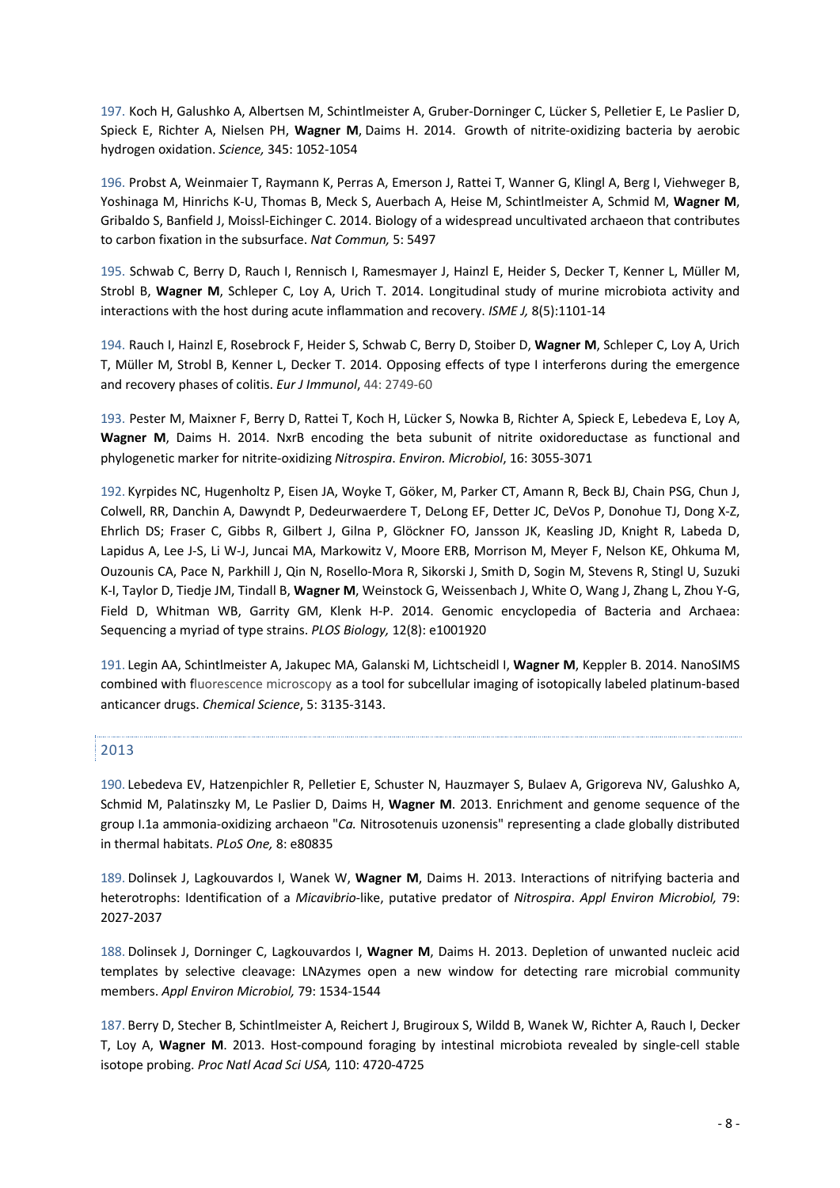197. Koch H, Galushko A, Albertsen M, Schintlmeister A, Gruber-Dorninger C, Lücker S, Pelletier E, Le Paslier D, Spieck E, Richter A, Nielsen PH, **Wagner M**, Daims H. 2014. Growth of nitrite-oxidizing bacteria by aerobic hydrogen oxidation. *Science,* 345: 1052-1054

196. Probst A, Weinmaier T, Raymann K, Perras A, Emerson J, Rattei T, Wanner G, Klingl A, Berg I, Viehweger B, Yoshinaga M, Hinrichs K-U, Thomas B, Meck S, Auerbach A, Heise M, Schintlmeister A, Schmid M, **Wagner M**, Gribaldo S, Banfield J, Moissl-Eichinger C. 2014. Biology of a widespread uncultivated archaeon that contributes to carbon fixation in the subsurface. *Nat Commun,* 5: 5497

195. Schwab C, Berry D, Rauch I, Rennisch I, Ramesmayer J, Hainzl E, Heider S, Decker T, Kenner L, Müller M, Strobl B, **Wagner M**, Schleper C, Loy A, Urich T. 2014. Longitudinal study of murine microbiota activity and interactions with the host during acute inflammation and recovery. *ISME J,* 8(5):1101-14

194. Rauch I, Hainzl E, Rosebrock F, Heider S, Schwab C, Berry D, Stoiber D, **Wagner M**, Schleper C, Loy A, Urich T, Müller M, Strobl B, Kenner L, Decker T. 2014. Opposing effects of type I interferons during the emergence and recovery phases of colitis. *Eur J Immunol*, 44: 2749-60

193. Pester M, Maixner F, Berry D, Rattei T, Koch H, Lücker S, Nowka B, Richter A, Spieck E, Lebedeva E, Loy A, **Wagner M**, Daims H. 2014. NxrB encoding the beta subunit of nitrite oxidoreductase as functional and phylogenetic marker for nitrite-oxidizing *Nitrospira*. *Environ. Microbiol*, 16: 3055-3071

192. Kyrpides NC, Hugenholtz P, Eisen JA, Woyke T, Göker, M, Parker CT, Amann R, Beck BJ, Chain PSG, Chun J, Colwell, RR, Danchin A, Dawyndt P, Dedeurwaerdere T, DeLong EF, Detter JC, DeVos P, Donohue TJ, Dong X-Z, Ehrlich DS; Fraser C, Gibbs R, Gilbert J, Gilna P, Glöckner FO, Jansson JK, Keasling JD, Knight R, Labeda D, Lapidus A, Lee J-S, Li W-J, Juncai MA, Markowitz V, Moore ERB, Morrison M, Meyer F, Nelson KE, Ohkuma M, Ouzounis CA, Pace N, Parkhill J, Qin N, Rosello-Mora R, Sikorski J, Smith D, Sogin M, Stevens R, Stingl U, Suzuki K-I, Taylor D, Tiedje JM, Tindall B, **Wagner M**, Weinstock G, Weissenbach J, White O, Wang J, Zhang L, Zhou Y-G, Field D, Whitman WB, Garrity GM, Klenk H-P. 2014. Genomic encyclopedia of Bacteria and Archaea: Sequencing a myriad of type strains. *PLOS Biology,* 12(8): e1001920

191. Legin AA, Schintlmeister A, Jakupec MA, Galanski M, Lichtscheidl I, **Wagner M**, Keppler B. 2014. NanoSIMS combined with fluorescence microscopy as a tool for subcellular imaging of isotopically labeled platinum-based anticancer drugs. *Chemical Science*, 5: 3135-3143.

### 2013

190. Lebedeva EV, Hatzenpichler R, Pelletier E, Schuster N, Hauzmayer S, Bulaev A, Grigoreva NV, Galushko A, Schmid M, Palatinszky M, Le Paslier D, Daims H, **Wagner M**. 2013. Enrichment and genome sequence of the group I.1a ammonia-oxidizing archaeon "*Ca.* Nitrosotenuis uzonensis" representing a clade globally distributed in thermal habitats. *PLoS One,* 8: e80835

189. Dolinsek J, Lagkouvardos I, Wanek W, **Wagner M**, Daims H. 2013. Interactions of nitrifying bacteria and heterotrophs: Identification of a *Micavibrio*-like, putative predator of *Nitrospira*. *Appl Environ Microbiol,* 79: 2027-2037

188. Dolinsek J, Dorninger C, Lagkouvardos I, **Wagner M**, Daims H. 2013. Depletion of unwanted nucleic acid templates by selective cleavage: LNAzymes open a new window for detecting rare microbial community members. *Appl Environ Microbiol,* 79: 1534-1544

187. Berry D, Stecher B, Schintlmeister A, Reichert J, Brugiroux S, Wildd B, Wanek W, Richter A, Rauch I, Decker T, Loy A, **Wagner M**. 2013. Host-compound foraging by intestinal microbiota revealed by single-cell stable isotope probing. *Proc Natl Acad Sci USA,* 110: 4720-4725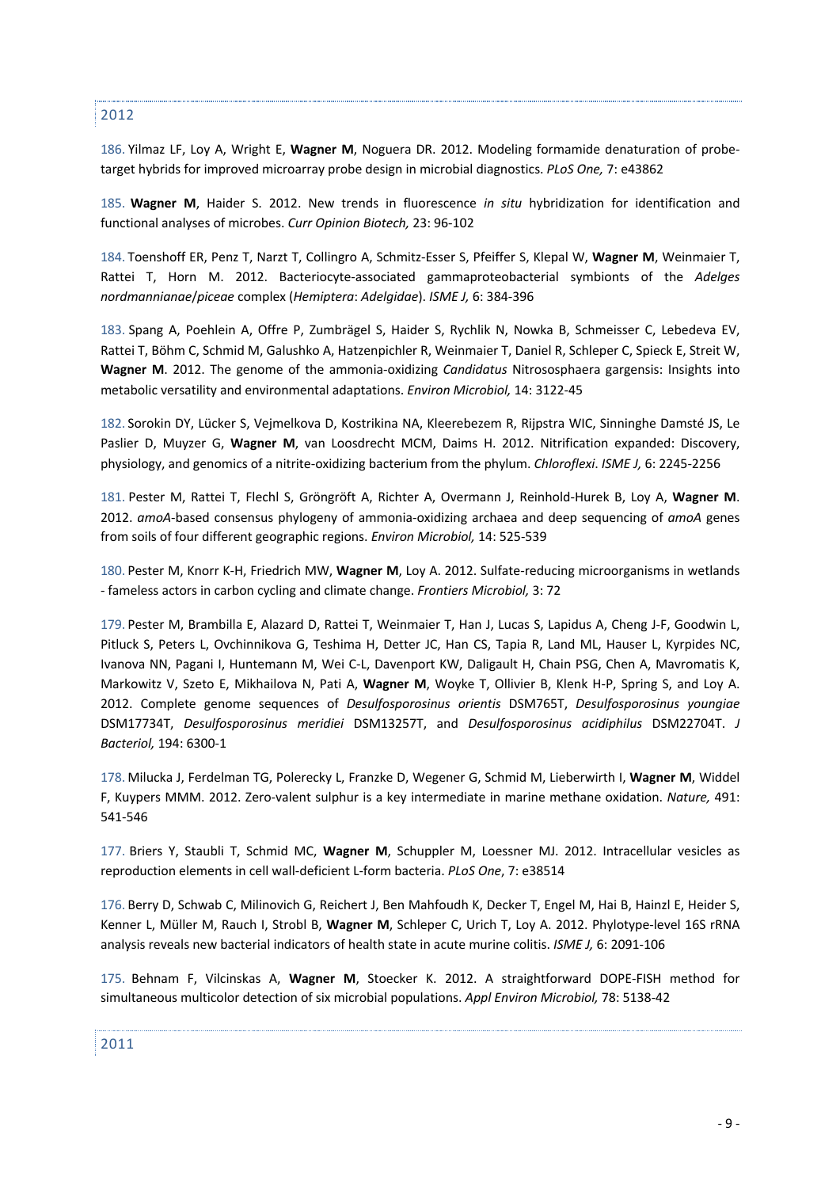### 2012

186. Yilmaz LF, Loy A, Wright E, **Wagner M**, Noguera DR. 2012. Modeling formamide denaturation of probetarget hybrids for improved microarray probe design in microbial diagnostics. *PLoS One,* 7: e43862

185. **Wagner M**, Haider S. 2012. New trends in fluorescence *in situ* hybridization for identification and functional analyses of microbes. *Curr Opinion Biotech,* 23: 96-102

184. Toenshoff ER, Penz T, Narzt T, Collingro A, Schmitz-Esser S, Pfeiffer S, Klepal W, **Wagner M**, Weinmaier T, Rattei T, Horn M. 2012. Bacteriocyte-associated gammaproteobacterial symbionts of the *Adelges nordmannianae*/*piceae* complex (*Hemiptera*: *Adelgidae*). *ISME J,* 6: 384-396

183. Spang A, Poehlein A, Offre P, Zumbrägel S, Haider S, Rychlik N, Nowka B, Schmeisser C, Lebedeva EV, Rattei T, Böhm C, Schmid M, Galushko A, Hatzenpichler R, Weinmaier T, Daniel R, Schleper C, Spieck E, Streit W, **Wagner M**. 2012. The genome of the ammonia-oxidizing *Candidatus* Nitrososphaera gargensis: Insights into metabolic versatility and environmental adaptations. *Environ Microbiol,* 14: 3122-45

182. Sorokin DY, Lücker S, Vejmelkova D, Kostrikina NA, Kleerebezem R, Rijpstra WIC, Sinninghe Damsté JS, Le Paslier D, Muyzer G, **Wagner M**, van Loosdrecht MCM, Daims H. 2012. Nitrification expanded: Discovery, physiology, and genomics of a nitrite-oxidizing bacterium from the phylum. *Chloroflexi*. *ISME J,* 6: 2245-2256

181. Pester M, Rattei T, Flechl S, Gröngröft A, Richter A, Overmann J, Reinhold-Hurek B, Loy A, **Wagner M**. 2012. *amoA*-based consensus phylogeny of ammonia-oxidizing archaea and deep sequencing of *amoA* genes from soils of four different geographic regions. *Environ Microbiol,* 14: 525-539

180. Pester M, Knorr K-H, Friedrich MW, **Wagner M**, Loy A. 2012. Sulfate-reducing microorganisms in wetlands - fameless actors in carbon cycling and climate change. *Frontiers Microbiol,* 3: 72

179. Pester M, Brambilla E, Alazard D, Rattei T, Weinmaier T, Han J, Lucas S, Lapidus A, Cheng J-F, Goodwin L, Pitluck S, Peters L, Ovchinnikova G, Teshima H, Detter JC, Han CS, Tapia R, Land ML, Hauser L, Kyrpides NC, Ivanova NN, Pagani I, Huntemann M, Wei C-L, Davenport KW, Daligault H, Chain PSG, Chen A, Mavromatis K, Markowitz V, Szeto E, Mikhailova N, Pati A, **Wagner M**, Woyke T, Ollivier B, Klenk H-P, Spring S, and Loy A. 2012. Complete genome sequences of *Desulfosporosinus orientis* DSM765T, *Desulfosporosinus youngiae* DSM17734T, *Desulfosporosinus meridiei* DSM13257T, and *Desulfosporosinus acidiphilus* DSM22704T. *J Bacteriol,* 194: 6300-1

178. Milucka J, Ferdelman TG, Polerecky L, Franzke D, Wegener G, Schmid M, Lieberwirth I, **Wagner M**, Widdel F, Kuypers MMM. 2012. Zero-valent sulphur is a key intermediate in marine methane oxidation. *Nature,* 491: 541-546

177. Briers Y, Staubli T, Schmid MC, **Wagner M**, Schuppler M, Loessner MJ. 2012. Intracellular vesicles as reproduction elements in cell wall-deficient L-form bacteria. *PLoS One*, 7: e38514

176. Berry D, Schwab C, Milinovich G, Reichert J, Ben Mahfoudh K, Decker T, Engel M, Hai B, Hainzl E, Heider S, Kenner L, Müller M, Rauch I, Strobl B, **Wagner M**, Schleper C, Urich T, Loy A. 2012. Phylotype-level 16S rRNA analysis reveals new bacterial indicators of health state in acute murine colitis. *ISME J,* 6: 2091-106

175. Behnam F, Vilcinskas A, **Wagner M**, Stoecker K. 2012. A straightforward DOPE-FISH method for simultaneous multicolor detection of six microbial populations. *Appl Environ Microbiol,* 78: 5138-42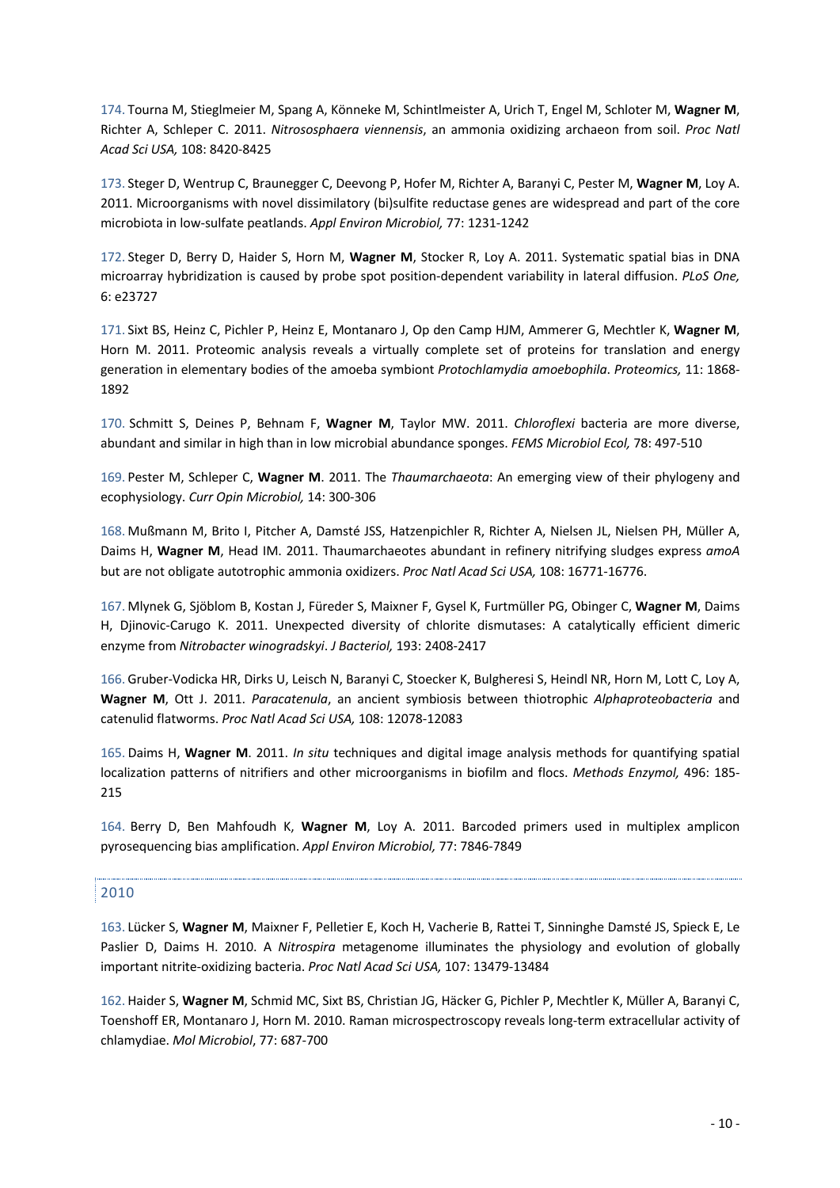174. Tourna M, Stieglmeier M, Spang A, Könneke M, Schintlmeister A, Urich T, Engel M, Schloter M, **Wagner M**, Richter A, Schleper C. 2011. *Nitrososphaera viennensis*, an ammonia oxidizing archaeon from soil. *Proc Natl Acad Sci USA,* 108: 8420-8425

173. Steger D, Wentrup C, Braunegger C, Deevong P, Hofer M, Richter A, Baranyi C, Pester M, **Wagner M**, Loy A. 2011. Microorganisms with novel dissimilatory (bi)sulfite reductase genes are widespread and part of the core microbiota in low-sulfate peatlands. *Appl Environ Microbiol,* 77: 1231-1242

172. Steger D, Berry D, Haider S, Horn M, **Wagner M**, Stocker R, Loy A. 2011. Systematic spatial bias in DNA microarray hybridization is caused by probe spot position-dependent variability in lateral diffusion. *PLoS One,* 6: e23727

171. Sixt BS, Heinz C, Pichler P, Heinz E, Montanaro J, Op den Camp HJM, Ammerer G, Mechtler K, **Wagner M**, Horn M. 2011. Proteomic analysis reveals a virtually complete set of proteins for translation and energy generation in elementary bodies of the amoeba symbiont *Protochlamydia amoebophila*. *Proteomics,* 11: 1868- 1892

170. Schmitt S, Deines P, Behnam F, **Wagner M**, Taylor MW. 2011. *Chloroflexi* bacteria are more diverse, abundant and similar in high than in low microbial abundance sponges. *FEMS Microbiol Ecol,* 78: 497-510

169. Pester M, Schleper C, **Wagner M**. 2011. The *Thaumarchaeota*: An emerging view of their phylogeny and ecophysiology. *Curr Opin Microbiol,* 14: 300-306

168. Mußmann M, Brito I, Pitcher A, Damsté JSS, Hatzenpichler R, Richter A, Nielsen JL, Nielsen PH, Müller A, Daims H, **Wagner M**, Head IM. 2011. Thaumarchaeotes abundant in refinery nitrifying sludges express *amoA* but are not obligate autotrophic ammonia oxidizers. *Proc Natl Acad Sci USA,* 108: 16771-16776.

167. Mlynek G, Sjöblom B, Kostan J, Füreder S, Maixner F, Gysel K, Furtmüller PG, Obinger C, **Wagner M**, Daims H, Djinovic-Carugo K. 2011. Unexpected diversity of chlorite dismutases: A catalytically efficient dimeric enzyme from *Nitrobacter winogradskyi*. *J Bacteriol,* 193: 2408-2417

166. Gruber-Vodicka HR, Dirks U, Leisch N, Baranyi C, Stoecker K, Bulgheresi S, Heindl NR, Horn M, Lott C, Loy A, **Wagner M**, Ott J. 2011. *Paracatenula*, an ancient symbiosis between thiotrophic *Alphaproteobacteria* and catenulid flatworms. *Proc Natl Acad Sci USA,* 108: 12078-12083

165. Daims H, **Wagner M**. 2011. *In situ* techniques and digital image analysis methods for quantifying spatial localization patterns of nitrifiers and other microorganisms in biofilm and flocs. *Methods Enzymol,* 496: 185- 215

164. Berry D, Ben Mahfoudh K, **Wagner M**, Loy A. 2011. Barcoded primers used in multiplex amplicon pyrosequencing bias amplification. *Appl Environ Microbiol,* 77: 7846-7849

## 2010

163. Lücker S, **Wagner M**, Maixner F, Pelletier E, Koch H, Vacherie B, Rattei T, Sinninghe Damsté JS, Spieck E, Le Paslier D, Daims H. 2010. A *Nitrospira* metagenome illuminates the physiology and evolution of globally important nitrite-oxidizing bacteria. *Proc Natl Acad Sci USA,* 107: 13479-13484

162. Haider S, **Wagner M**, Schmid MC, Sixt BS, Christian JG, Häcker G, Pichler P, Mechtler K, Müller A, Baranyi C, Toenshoff ER, Montanaro J, Horn M. 2010. Raman microspectroscopy reveals long-term extracellular activity of chlamydiae. *Mol Microbiol*, 77: 687-700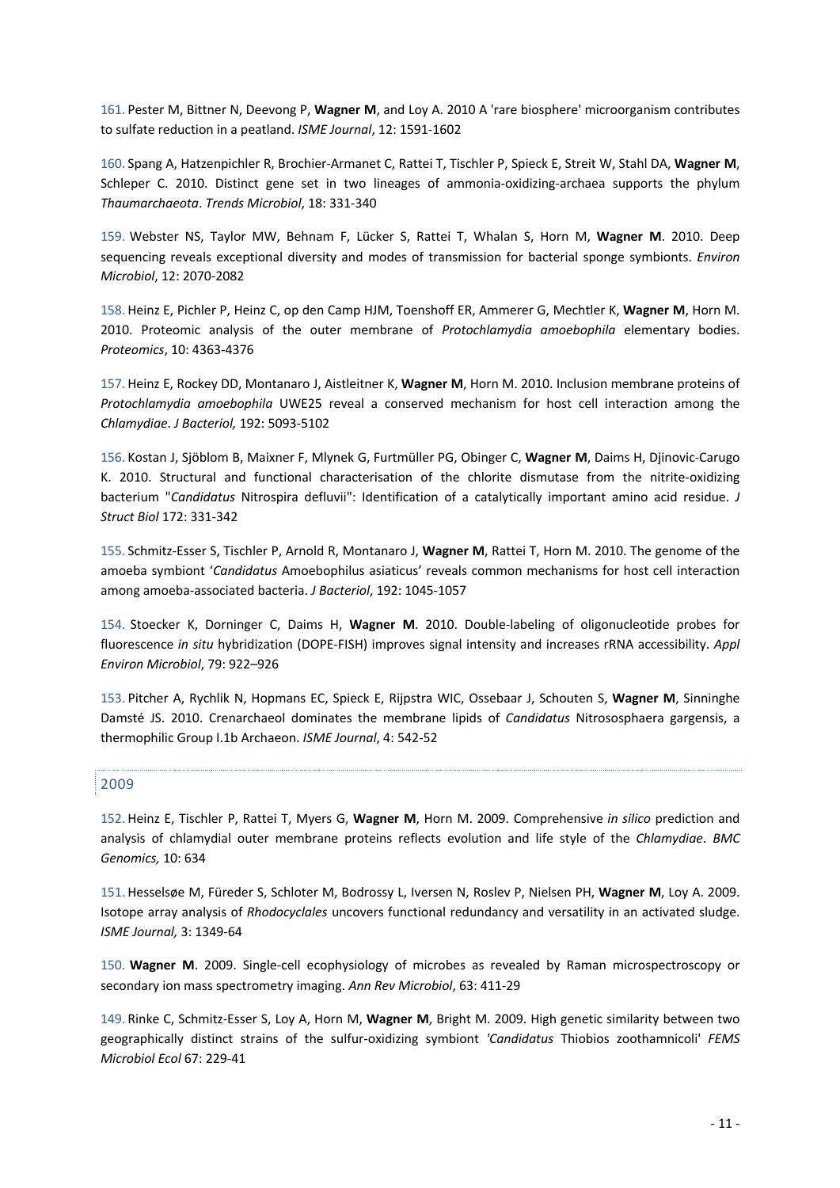161. Pester M, Bittner N, Deevong P, **Wagner M**, and Loy A. 2010 A 'rare biosphere' microorganism contributes to sulfate reduction in a peatland. *ISME Journal*, 12: 1591-1602

160. Spang A, Hatzenpichler R, Brochier-Armanet C, Rattei T, Tischler P, Spieck E, Streit W, Stahl DA, **Wagner M**, Schleper C. 2010. Distinct gene set in two lineages of ammonia-oxidizing-archaea supports the phylum *Thaumarchaeota*. *Trends Microbiol*, 18: 331-340

159. Webster NS, Taylor MW, Behnam F, Lücker S, Rattei T, Whalan S, Horn M, **Wagner M**. 2010. Deep sequencing reveals exceptional diversity and modes of transmission for bacterial sponge symbionts. *Environ Microbiol*, 12: 2070-2082

158. Heinz E, Pichler P, Heinz C, op den Camp HJM, Toenshoff ER, Ammerer G, Mechtler K, **Wagner M**, Horn M. 2010. Proteomic analysis of the outer membrane of *Protochlamydia amoebophila* elementary bodies. *Proteomics*, 10: 4363-4376

157. Heinz E, Rockey DD, Montanaro J, Aistleitner K, **Wagner M**, Horn M. 2010. Inclusion membrane proteins of *Protochlamydia amoebophila* UWE25 reveal a conserved mechanism for host cell interaction among the *Chlamydiae*. *J Bacteriol,* 192: 5093-5102

156. Kostan J, Sjöblom B, Maixner F, Mlynek G, Furtmüller PG, Obinger C, **Wagner M**, Daims H, Djinovic-Carugo K. 2010. Structural and functional characterisation of the chlorite dismutase from the nitrite-oxidizing bacterium "*Candidatus* Nitrospira defluvii": Identification of a catalytically important amino acid residue. *J Struct Biol* 172: 331-342

155. Schmitz-Esser S, Tischler P, Arnold R, Montanaro J, **Wagner M**, Rattei T, Horn M. 2010. The genome of the amoeba symbiont '*Candidatus* Amoebophilus asiaticus' reveals common mechanisms for host cell interaction among amoeba-associated bacteria. *J Bacteriol*, 192: 1045-1057

154. Stoecker K, Dorninger C, Daims H, **Wagner M**. 2010. Double-labeling of oligonucleotide probes for fluorescence *in situ* hybridization (DOPE-FISH) improves signal intensity and increases rRNA accessibility. *Appl Environ Microbiol*, 79: 922–926

153. Pitcher A, Rychlik N, Hopmans EC, Spieck E, Rijpstra WIC, Ossebaar J, Schouten S, **Wagner M**, Sinninghe Damsté JS. 2010. Crenarchaeol dominates the membrane lipids of *Candidatus* Nitrososphaera gargensis, a thermophilic Group I.1b Archaeon. *ISME Journal*, 4: 542-52

### 2009

152. Heinz E, Tischler P, Rattei T, Myers G, **Wagner M**, Horn M. 2009. Comprehensive *in silico* prediction and analysis of chlamydial outer membrane proteins reflects evolution and life style of the *Chlamydiae*. *BMC Genomics,* 10: 634

151. Hesselsøe M, Füreder S, Schloter M, Bodrossy L, Iversen N, Roslev P, Nielsen PH, **Wagner M**, Loy A. 2009. Isotope array analysis of *Rhodocyclales* uncovers functional redundancy and versatility in an activated sludge. *ISME Journal,* 3: 1349-64

150. **Wagner M**. 2009. Single-cell ecophysiology of microbes as revealed by Raman microspectroscopy or secondary ion mass spectrometry imaging. *Ann Rev Microbiol*, 63: 411-29

149. Rinke C, Schmitz-Esser S, Loy A, Horn M, **Wagner M**, Bright M. 2009. High genetic similarity between two geographically distinct strains of the sulfur-oxidizing symbiont *'Candidatus* Thiobios zoothamnicoli' *FEMS Microbiol Ecol* 67: 229-41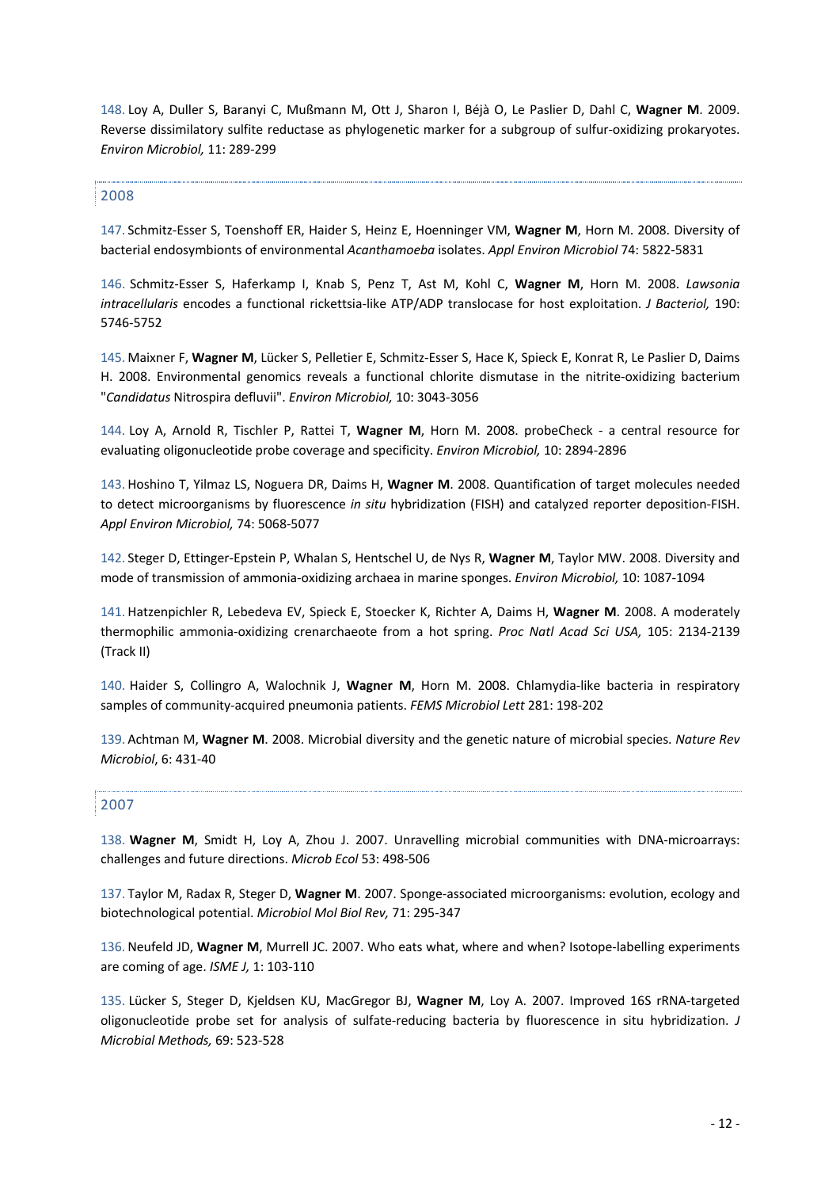148. Loy A, Duller S, Baranyi C, Mußmann M, Ott J, Sharon I, Béjà O, Le Paslier D, Dahl C, **Wagner M**. 2009. Reverse dissimilatory sulfite reductase as phylogenetic marker for a subgroup of sulfur-oxidizing prokaryotes. *Environ Microbiol,* 11: 289-299

### 2008

147. Schmitz-Esser S, Toenshoff ER, Haider S, Heinz E, Hoenninger VM, **Wagner M**, Horn M. 2008. Diversity of bacterial endosymbionts of environmental *Acanthamoeba* isolates. *Appl Environ Microbiol* 74: 5822-5831

146. Schmitz-Esser S, Haferkamp I, Knab S, Penz T, Ast M, Kohl C, **Wagner M**, Horn M. 2008. *Lawsonia intracellularis* encodes a functional rickettsia-like ATP/ADP translocase for host exploitation. *J Bacteriol,* 190: 5746-5752

145. Maixner F, **Wagner M**, Lücker S, Pelletier E, Schmitz-Esser S, Hace K, Spieck E, Konrat R, Le Paslier D, Daims H. 2008. Environmental genomics reveals a functional chlorite dismutase in the nitrite-oxidizing bacterium "*Candidatus* Nitrospira defluvii". *Environ Microbiol,* 10: 3043-3056

144. Loy A, Arnold R, Tischler P, Rattei T, **Wagner M**, Horn M. 2008. probeCheck - a central resource for evaluating oligonucleotide probe coverage and specificity. *Environ Microbiol,* 10: 2894-2896

143. Hoshino T, Yilmaz LS, Noguera DR, Daims H, **Wagner M**. 2008. Quantification of target molecules needed to detect microorganisms by fluorescence *in situ* hybridization (FISH) and catalyzed reporter deposition-FISH. *Appl Environ Microbiol,* 74: 5068-5077

142. Steger D, Ettinger-Epstein P, Whalan S, Hentschel U, de Nys R, **Wagner M**, Taylor MW. 2008. Diversity and mode of transmission of ammonia-oxidizing archaea in marine sponges. *Environ Microbiol,* 10: 1087-1094

141. Hatzenpichler R, Lebedeva EV, Spieck E, Stoecker K, Richter A, Daims H, **Wagner M**. 2008. A moderately thermophilic ammonia-oxidizing crenarchaeote from a hot spring. *Proc Natl Acad Sci USA,* 105: 2134-2139 (Track II)

140. Haider S, Collingro A, Walochnik J, **Wagner M**, Horn M. 2008. Chlamydia-like bacteria in respiratory samples of community-acquired pneumonia patients. *FEMS Microbiol Lett* 281: 198-202

139. Achtman M, **Wagner M**. 2008. Microbial diversity and the genetic nature of microbial species. *Nature Rev Microbiol*, 6: 431-40

### 2007

138. **Wagner M**, Smidt H, Loy A, Zhou J. 2007. Unravelling microbial communities with DNA-microarrays: challenges and future directions. *Microb Ecol* 53: 498-506

137. Taylor M, Radax R, Steger D, **Wagner M**. 2007. Sponge-associated microorganisms: evolution, ecology and biotechnological potential. *Microbiol Mol Biol Rev,* 71: 295-347

136.Neufeld JD, **Wagner M**, Murrell JC. 2007. Who eats what, where and when? Isotope-labelling experiments are coming of age. *ISME J,* 1: 103-110

135. Lücker S, Steger D, Kjeldsen KU, MacGregor BJ, **Wagner M**, Loy A. 2007. Improved 16S rRNA-targeted oligonucleotide probe set for analysis of sulfate-reducing bacteria by fluorescence in situ hybridization. *J Microbial Methods,* 69: 523-528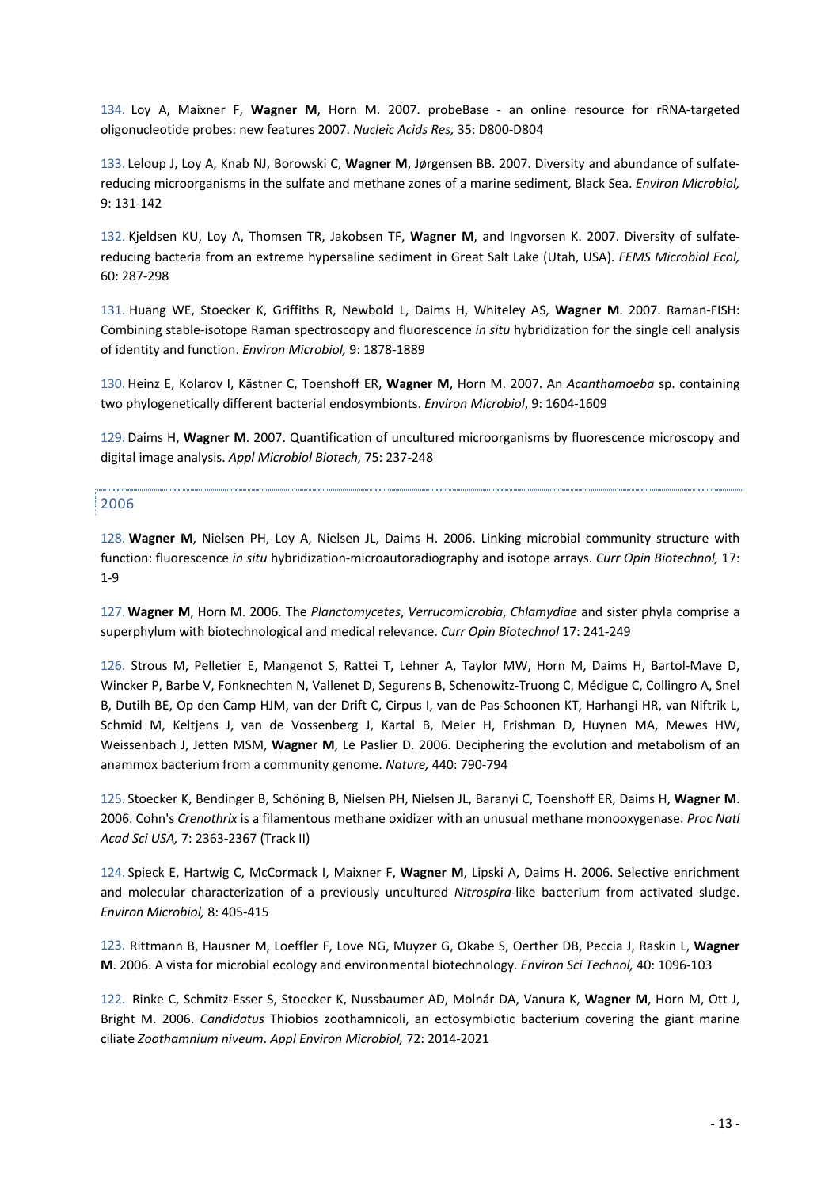134. Loy A, Maixner F, **Wagner M**, Horn M. 2007. probeBase - an online resource for rRNA-targeted oligonucleotide probes: new features 2007. *Nucleic Acids Res,* 35: D800-D804

133. Leloup J, Loy A, Knab NJ, Borowski C, **Wagner M**, Jørgensen BB. 2007. Diversity and abundance of sulfatereducing microorganisms in the sulfate and methane zones of a marine sediment, Black Sea. *Environ Microbiol,* 9: 131-142

132. Kjeldsen KU, Loy A, Thomsen TR, Jakobsen TF, **Wagner M**, and Ingvorsen K. 2007. Diversity of sulfatereducing bacteria from an extreme hypersaline sediment in Great Salt Lake (Utah, USA). *FEMS Microbiol Ecol,* 60: 287-298

131. Huang WE, Stoecker K, Griffiths R, Newbold L, Daims H, Whiteley AS, **Wagner M**. 2007. Raman-FISH: Combining stable-isotope Raman spectroscopy and fluorescence *in situ* hybridization for the single cell analysis of identity and function. *Environ Microbiol,* 9: 1878-1889

130. Heinz E, Kolarov I, Kästner C, Toenshoff ER, **Wagner M**, Horn M. 2007. An *Acanthamoeba* sp. containing two phylogenetically different bacterial endosymbionts. *Environ Microbiol*, 9: 1604-1609

129. Daims H, **Wagner M**. 2007. Quantification of uncultured microorganisms by fluorescence microscopy and digital image analysis. *Appl Microbiol Biotech,* 75: 237-248

### 2006

128. **Wagner M**, Nielsen PH, Loy A, Nielsen JL, Daims H. 2006. Linking microbial community structure with function: fluorescence *in situ* hybridization-microautoradiography and isotope arrays. *Curr Opin Biotechnol,* 17: 1-9

127. **Wagner M**, Horn M. 2006. The *Planctomycetes*, *Verrucomicrobia*, *Chlamydiae* and sister phyla comprise a superphylum with biotechnological and medical relevance. *Curr Opin Biotechnol* 17: 241-249

126. Strous M, Pelletier E, Mangenot S, Rattei T, Lehner A, Taylor MW, Horn M, Daims H, Bartol-Mave D, Wincker P, Barbe V, Fonknechten N, Vallenet D, Segurens B, Schenowitz-Truong C, Médigue C, Collingro A, Snel B, Dutilh BE, Op den Camp HJM, van der Drift C, Cirpus I, van de Pas-Schoonen KT, Harhangi HR, van Niftrik L, Schmid M, Keltjens J, van de Vossenberg J, Kartal B, Meier H, Frishman D, Huynen MA, Mewes HW, Weissenbach J, Jetten MSM, **Wagner M**, Le Paslier D. 2006. Deciphering the evolution and metabolism of an anammox bacterium from a community genome. *Nature,* 440: 790-794

125. Stoecker K, Bendinger B, Schöning B, Nielsen PH, Nielsen JL, Baranyi C, Toenshoff ER, Daims H, **Wagner M**. 2006. Cohn's *Crenothrix* is a filamentous methane oxidizer with an unusual methane monooxygenase. *Proc Natl Acad Sci USA,* 7: 2363-2367 (Track II)

124. Spieck E, Hartwig C, McCormack I, Maixner F, **Wagner M**, Lipski A, Daims H. 2006. Selective enrichment and molecular characterization of a previously uncultured *Nitrospira*-like bacterium from activated sludge. *Environ Microbiol,* 8: 405-415

123. Rittmann B, Hausner M, Loeffler F, Love NG, Muyzer G, Okabe S, Oerther DB, Peccia J, Raskin L, **Wagner M**. 2006. A vista for microbial ecology and environmental biotechnology. *Environ Sci Technol,* 40: 1096-103

122. Rinke C, Schmitz-Esser S, Stoecker K, Nussbaumer AD, Molnár DA, Vanura K, **Wagner M**, Horn M, Ott J, Bright M. 2006. *Candidatus* Thiobios zoothamnicoli, an ectosymbiotic bacterium covering the giant marine ciliate *Zoothamnium niveum*. *Appl Environ Microbiol,* 72: 2014-2021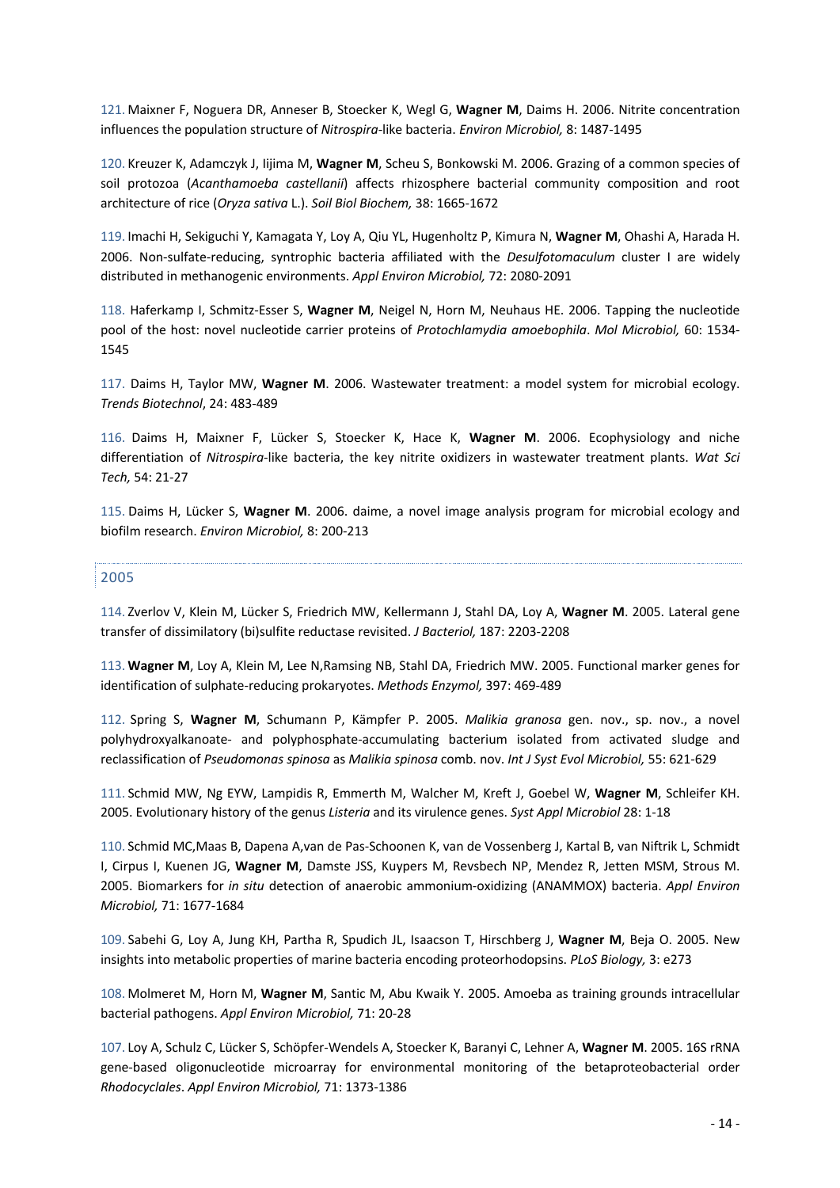121. Maixner F, Noguera DR, Anneser B, Stoecker K, Wegl G, **Wagner M**, Daims H. 2006. Nitrite concentration influences the population structure of *Nitrospira*-like bacteria. *Environ Microbiol,* 8: 1487-1495

120. Kreuzer K, Adamczyk J, Iijima M, **Wagner M**, Scheu S, Bonkowski M. 2006. Grazing of a common species of soil protozoa (*Acanthamoeba castellanii*) affects rhizosphere bacterial community composition and root architecture of rice (*Oryza sativa* L.). *Soil Biol Biochem,* 38: 1665-1672

119. Imachi H, Sekiguchi Y, Kamagata Y, Loy A, Qiu YL, Hugenholtz P, Kimura N, **Wagner M**, Ohashi A, Harada H. 2006. Non-sulfate-reducing, syntrophic bacteria affiliated with the *Desulfotomaculum* cluster I are widely distributed in methanogenic environments. *Appl Environ Microbiol,* 72: 2080-2091

118. Haferkamp I, Schmitz-Esser S, **Wagner M**, Neigel N, Horn M, Neuhaus HE. 2006. Tapping the nucleotide pool of the host: novel nucleotide carrier proteins of *Protochlamydia amoebophila*. *Mol Microbiol,* 60: 1534- 1545

117. Daims H, Taylor MW, **Wagner M**. 2006. Wastewater treatment: a model system for microbial ecology. *Trends Biotechnol*, 24: 483-489

116. Daims H, Maixner F, Lücker S, Stoecker K, Hace K, **Wagner M**. 2006. Ecophysiology and niche differentiation of *Nitrospira*-like bacteria, the key nitrite oxidizers in wastewater treatment plants. *Wat Sci Tech,* 54: 21-27

115. Daims H, Lücker S, **Wagner M**. 2006. daime, a novel image analysis program for microbial ecology and biofilm research. *Environ Microbiol,* 8: 200-213

### 2005

114. Zverlov V, Klein M, Lücker S, Friedrich MW, Kellermann J, Stahl DA, Loy A, **Wagner M**. 2005. Lateral gene transfer of dissimilatory (bi)sulfite reductase revisited. *J Bacteriol,* 187: 2203-2208

113. **Wagner M**, Loy A, Klein M, Lee N,Ramsing NB, Stahl DA, Friedrich MW. 2005. Functional marker genes for identification of sulphate-reducing prokaryotes. *Methods Enzymol,* 397: 469-489

112. Spring S, **Wagner M**, Schumann P, Kämpfer P. 2005. *Malikia granosa* gen. nov., sp. nov., a novel polyhydroxyalkanoate- and polyphosphate-accumulating bacterium isolated from activated sludge and reclassification of *Pseudomonas spinosa* as *Malikia spinosa* comb. nov. *Int J Syst Evol Microbiol,* 55: 621-629

111. Schmid MW, Ng EYW, Lampidis R, Emmerth M, Walcher M, Kreft J, Goebel W, **Wagner M**, Schleifer KH. 2005. Evolutionary history of the genus *Listeria* and its virulence genes. *Syst Appl Microbiol* 28: 1-18

110. Schmid MC,Maas B, Dapena A,van de Pas-Schoonen K, van de Vossenberg J, Kartal B, van Niftrik L, Schmidt I, Cirpus I, Kuenen JG, **Wagner M**, Damste JSS, Kuypers M, Revsbech NP, Mendez R, Jetten MSM, Strous M. 2005. Biomarkers for *in situ* detection of anaerobic ammonium-oxidizing (ANAMMOX) bacteria. *Appl Environ Microbiol,* 71: 1677-1684

109. Sabehi G, Loy A, Jung KH, Partha R, Spudich JL, Isaacson T, Hirschberg J, **Wagner M**, Beja O. 2005. New insights into metabolic properties of marine bacteria encoding proteorhodopsins. *PLoS Biology,* 3: e273

108. Molmeret M, Horn M, **Wagner M**, Santic M, Abu Kwaik Y. 2005. Amoeba as training grounds intracellular bacterial pathogens. *Appl Environ Microbiol,* 71: 20-28

107. Loy A, Schulz C, Lücker S, Schöpfer-Wendels A, Stoecker K, Baranyi C, Lehner A, **Wagner M**. 2005. 16S rRNA gene-based oligonucleotide microarray for environmental monitoring of the betaproteobacterial order *Rhodocyclales*. *Appl Environ Microbiol,* 71: 1373-1386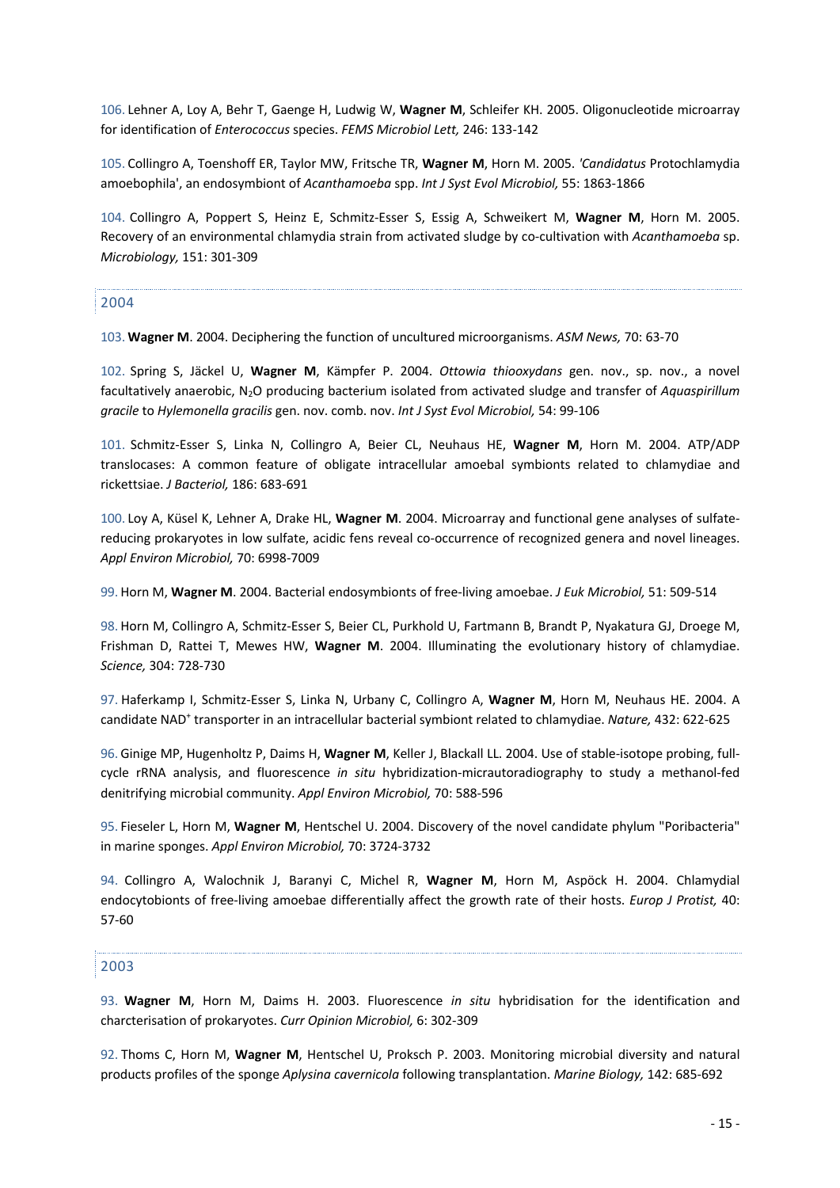106. Lehner A, Loy A, Behr T, Gaenge H, Ludwig W, **Wagner M**, Schleifer KH. 2005. Oligonucleotide microarray for identification of *Enterococcus* species. *FEMS Microbiol Lett,* 246: 133-142

105. Collingro A, Toenshoff ER, Taylor MW, Fritsche TR, **Wagner M**, Horn M. 2005. *'Candidatus* Protochlamydia amoebophila', an endosymbiont of *Acanthamoeba* spp. *Int J Syst Evol Microbiol,* 55: 1863-1866

104. Collingro A, Poppert S, Heinz E, Schmitz-Esser S, Essig A, Schweikert M, **Wagner M**, Horn M. 2005. Recovery of an environmental chlamydia strain from activated sludge by co-cultivation with *Acanthamoeba* sp. *Microbiology,* 151: 301-309

### 2004

103. **Wagner M**. 2004. Deciphering the function of uncultured microorganisms. *ASM News,* 70: 63-70

102. Spring S, Jäckel U, **Wagner M**, Kämpfer P. 2004. *Ottowia thiooxydans* gen. nov., sp. nov., a novel facultatively anaerobic, N2O producing bacterium isolated from activated sludge and transfer of *Aquaspirillum gracile* to *Hylemonella gracilis* gen. nov. comb. nov. *Int J Syst Evol Microbiol,* 54: 99-106

101. Schmitz-Esser S, Linka N, Collingro A, Beier CL, Neuhaus HE, **Wagner M**, Horn M. 2004. ATP/ADP translocases: A common feature of obligate intracellular amoebal symbionts related to chlamydiae and rickettsiae. *J Bacteriol,* 186: 683-691

100. Loy A, Küsel K, Lehner A, Drake HL, **Wagner M**. 2004. Microarray and functional gene analyses of sulfatereducing prokaryotes in low sulfate, acidic fens reveal co-occurrence of recognized genera and novel lineages. *Appl Environ Microbiol,* 70: 6998-7009

99. Horn M, **Wagner M**. 2004. Bacterial endosymbionts of free-living amoebae. *J Euk Microbiol,* 51: 509-514

98. Horn M, Collingro A, Schmitz-Esser S, Beier CL, Purkhold U, Fartmann B, Brandt P, Nyakatura GJ, Droege M, Frishman D, Rattei T, Mewes HW, **Wagner M**. 2004. Illuminating the evolutionary history of chlamydiae. *Science,* 304: 728-730

97. Haferkamp I, Schmitz-Esser S, Linka N, Urbany C, Collingro A, **Wagner M**, Horn M, Neuhaus HE. 2004. A candidate NAD+ transporter in an intracellular bacterial symbiont related to chlamydiae. *Nature,* 432: 622-625

96. Ginige MP, Hugenholtz P, Daims H, **Wagner M**, Keller J, Blackall LL. 2004. Use of stable-isotope probing, fullcycle rRNA analysis, and fluorescence *in situ* hybridization-micrautoradiography to study a methanol-fed denitrifying microbial community. *Appl Environ Microbiol,* 70: 588-596

95. Fieseler L, Horn M, **Wagner M**, Hentschel U. 2004. Discovery of the novel candidate phylum "Poribacteria" in marine sponges. *Appl Environ Microbiol,* 70: 3724-3732

94. Collingro A, Walochnik J, Baranyi C, Michel R, **Wagner M**, Horn M, Aspöck H. 2004. Chlamydial endocytobionts of free-living amoebae differentially affect the growth rate of their hosts. *Europ J Protist,* 40: 57-60

### 2003

93. **Wagner M**, Horn M, Daims H. 2003. Fluorescence *in situ* hybridisation for the identification and charcterisation of prokaryotes. *Curr Opinion Microbiol,* 6: 302-309

92. Thoms C, Horn M, **Wagner M**, Hentschel U, Proksch P. 2003. Monitoring microbial diversity and natural products profiles of the sponge *Aplysina cavernicola* following transplantation. *Marine Biology,* 142: 685-692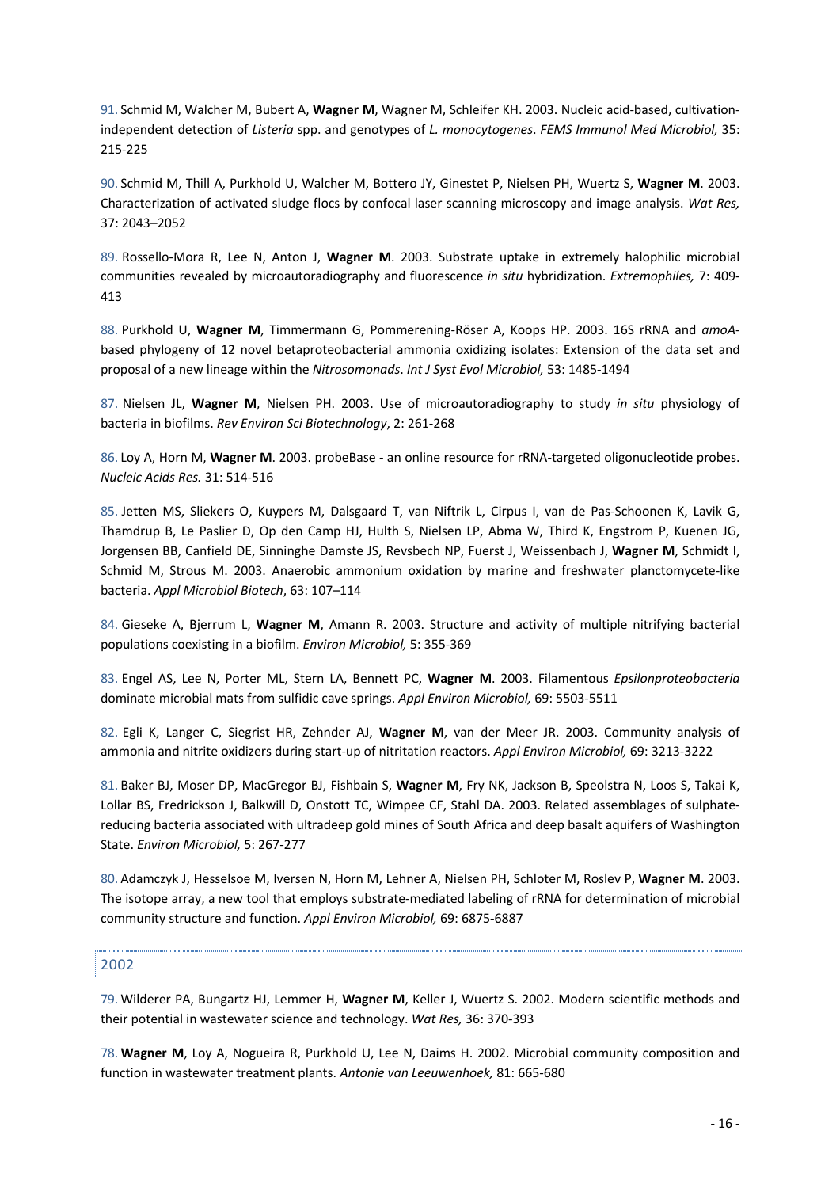91. Schmid M, Walcher M, Bubert A, **Wagner M**, Wagner M, Schleifer KH. 2003. Nucleic acid-based, cultivationindependent detection of *Listeria* spp. and genotypes of *L. monocytogenes*. *FEMS Immunol Med Microbiol,* 35: 215-225

90. Schmid M, Thill A, Purkhold U, Walcher M, Bottero JY, Ginestet P, Nielsen PH, Wuertz S, **Wagner M**. 2003. Characterization of activated sludge flocs by confocal laser scanning microscopy and image analysis. *Wat Res,*  37: 2043–2052

89. Rossello-Mora R, Lee N, Anton J, **Wagner M**. 2003. Substrate uptake in extremely halophilic microbial communities revealed by microautoradiography and fluorescence *in situ* hybridization. *Extremophiles,* 7: 409- 413

88. Purkhold U, **Wagner M**, Timmermann G, Pommerening-Röser A, Koops HP. 2003. 16S rRNA and *amoA*based phylogeny of 12 novel betaproteobacterial ammonia oxidizing isolates: Extension of the data set and proposal of a new lineage within the *Nitrosomonads*. *Int J Syst Evol Microbiol,* 53: 1485-1494

87. Nielsen JL, **Wagner M**, Nielsen PH. 2003. Use of microautoradiography to study *in situ* physiology of bacteria in biofilms. *Rev Environ Sci Biotechnology*, 2: 261-268

86. Loy A, Horn M, **Wagner M**. 2003. probeBase - an online resource for rRNA-targeted oligonucleotide probes. *Nucleic Acids Res.* 31: 514-516

85. Jetten MS, Sliekers O, Kuypers M, Dalsgaard T, van Niftrik L, Cirpus I, van de Pas-Schoonen K, Lavik G, Thamdrup B, Le Paslier D, Op den Camp HJ, Hulth S, Nielsen LP, Abma W, Third K, Engstrom P, Kuenen JG, Jorgensen BB, Canfield DE, Sinninghe Damste JS, Revsbech NP, Fuerst J, Weissenbach J, **Wagner M**, Schmidt I, Schmid M, Strous M. 2003. Anaerobic ammonium oxidation by marine and freshwater planctomycete-like bacteria. *Appl Microbiol Biotech*, 63: 107–114

84. Gieseke A, Bjerrum L, **Wagner M**, Amann R. 2003. Structure and activity of multiple nitrifying bacterial populations coexisting in a biofilm. *Environ Microbiol,* 5: 355-369

83. Engel AS, Lee N, Porter ML, Stern LA, Bennett PC, **Wagner M**. 2003. Filamentous *Epsilonproteobacteria* dominate microbial mats from sulfidic cave springs. *Appl Environ Microbiol,* 69: 5503-5511

82. Egli K, Langer C, Siegrist HR, Zehnder AJ, **Wagner M**, van der Meer JR. 2003. Community analysis of ammonia and nitrite oxidizers during start-up of nitritation reactors. *Appl Environ Microbiol,* 69: 3213-3222

81. Baker BJ, Moser DP, MacGregor BJ, Fishbain S, **Wagner M**, Fry NK, Jackson B, Speolstra N, Loos S, Takai K, Lollar BS, Fredrickson J, Balkwill D, Onstott TC, Wimpee CF, Stahl DA. 2003. Related assemblages of sulphatereducing bacteria associated with ultradeep gold mines of South Africa and deep basalt aquifers of Washington State. *Environ Microbiol,* 5: 267-277

80. Adamczyk J, Hesselsoe M, Iversen N, Horn M, Lehner A, Nielsen PH, Schloter M, Roslev P, **Wagner M**. 2003. The isotope array, a new tool that employs substrate-mediated labeling of rRNA for determination of microbial community structure and function. *Appl Environ Microbiol,* 69: 6875-6887

### 2002

79. Wilderer PA, Bungartz HJ, Lemmer H, **Wagner M**, Keller J, Wuertz S. 2002. Modern scientific methods and their potential in wastewater science and technology. *Wat Res,* 36: 370-393

78. **Wagner M**, Loy A, Nogueira R, Purkhold U, Lee N, Daims H. 2002. Microbial community composition and function in wastewater treatment plants. *Antonie van Leeuwenhoek,* 81: 665-680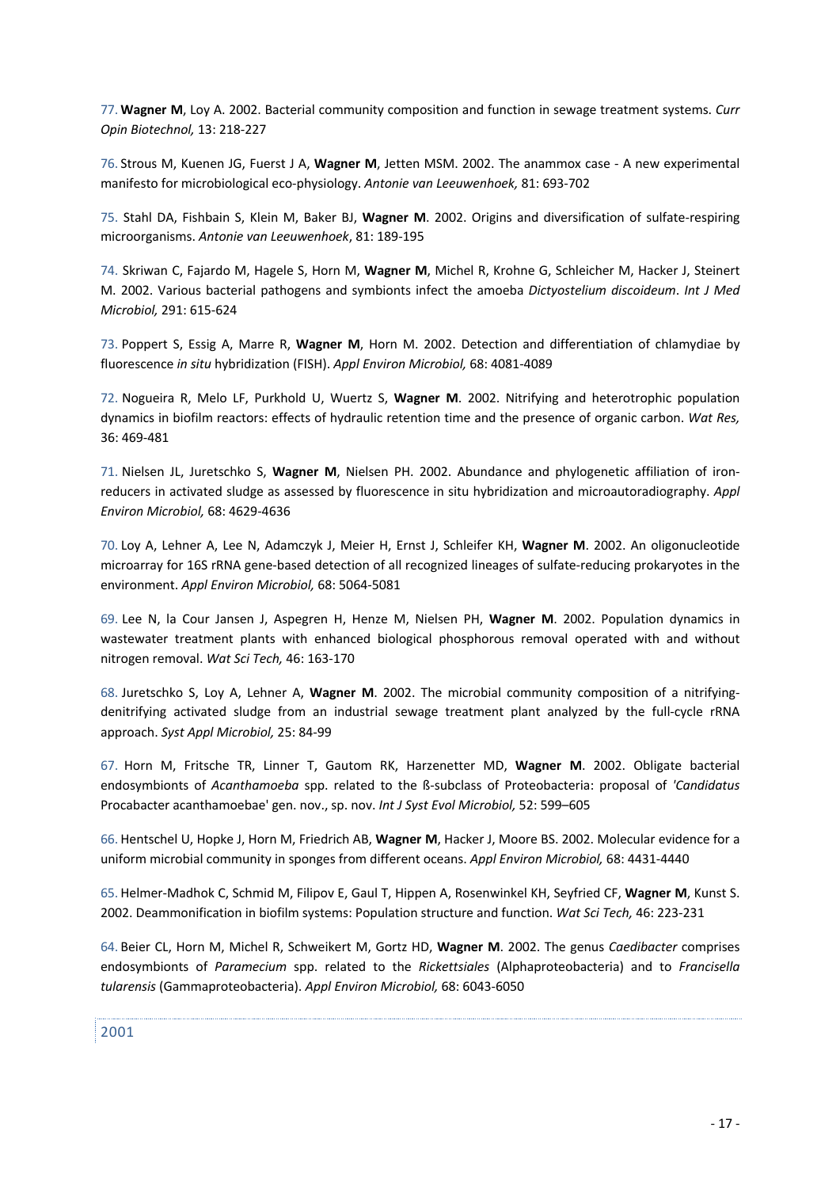77. **Wagner M**, Loy A. 2002. Bacterial community composition and function in sewage treatment systems. *Curr Opin Biotechnol,* 13: 218-227

76. Strous M, Kuenen JG, Fuerst J A, **Wagner M**, Jetten MSM. 2002. The anammox case - A new experimental manifesto for microbiological eco-physiology. *Antonie van Leeuwenhoek,* 81: 693-702

75. Stahl DA, Fishbain S, Klein M, Baker BJ, **Wagner M**. 2002. Origins and diversification of sulfate-respiring microorganisms. *Antonie van Leeuwenhoek*, 81: 189-195

74. Skriwan C, Fajardo M, Hagele S, Horn M, **Wagner M**, Michel R, Krohne G, Schleicher M, Hacker J, Steinert M. 2002. Various bacterial pathogens and symbionts infect the amoeba *Dictyostelium discoideum*. *Int J Med Microbiol,* 291: 615-624

73. Poppert S, Essig A, Marre R, **Wagner M**, Horn M. 2002. Detection and differentiation of chlamydiae by fluorescence *in situ* hybridization (FISH). *Appl Environ Microbiol,* 68: 4081-4089

72. Nogueira R, Melo LF, Purkhold U, Wuertz S, **Wagner M**. 2002. Nitrifying and heterotrophic population dynamics in biofilm reactors: effects of hydraulic retention time and the presence of organic carbon. *Wat Res,* 36: 469-481

71. Nielsen JL, Juretschko S, **Wagner M**, Nielsen PH. 2002. Abundance and phylogenetic affiliation of ironreducers in activated sludge as assessed by fluorescence in situ hybridization and microautoradiography. *Appl Environ Microbiol,* 68: 4629-4636

70. Loy A, Lehner A, Lee N, Adamczyk J, Meier H, Ernst J, Schleifer KH, **Wagner M**. 2002. An oligonucleotide microarray for 16S rRNA gene-based detection of all recognized lineages of sulfate-reducing prokaryotes in the environment. *Appl Environ Microbiol,* 68: 5064-5081

69. Lee N, la Cour Jansen J, Aspegren H, Henze M, Nielsen PH, **Wagner M**. 2002. Population dynamics in wastewater treatment plants with enhanced biological phosphorous removal operated with and without nitrogen removal. *Wat Sci Tech,* 46: 163-170

68. Juretschko S, Loy A, Lehner A, **Wagner M**. 2002. The microbial community composition of a nitrifyingdenitrifying activated sludge from an industrial sewage treatment plant analyzed by the full-cycle rRNA approach. *Syst Appl Microbiol,* 25: 84-99

67. Horn M, Fritsche TR, Linner T, Gautom RK, Harzenetter MD, **Wagner M**. 2002. Obligate bacterial endosymbionts of *Acanthamoeba* spp. related to the ß-subclass of Proteobacteria: proposal of *'Candidatus* Procabacter acanthamoebae' gen. nov., sp. nov. *Int J Syst Evol Microbiol,* 52: 599–605

66. Hentschel U, Hopke J, Horn M, Friedrich AB, **Wagner M**, Hacker J, Moore BS. 2002. Molecular evidence for a uniform microbial community in sponges from different oceans. *Appl Environ Microbiol,* 68: 4431-4440

65. Helmer-Madhok C, Schmid M, Filipov E, Gaul T, Hippen A, Rosenwinkel KH, Seyfried CF, **Wagner M**, Kunst S. 2002. Deammonification in biofilm systems: Population structure and function. *Wat Sci Tech,* 46: 223-231

64. Beier CL, Horn M, Michel R, Schweikert M, Gortz HD, **Wagner M**. 2002. The genus *Caedibacter* comprises endosymbionts of *Paramecium* spp. related to the *Rickettsiales* (Alphaproteobacteria) and to *Francisella tularensis* (Gammaproteobacteria). *Appl Environ Microbiol,* 68: 6043-6050

2001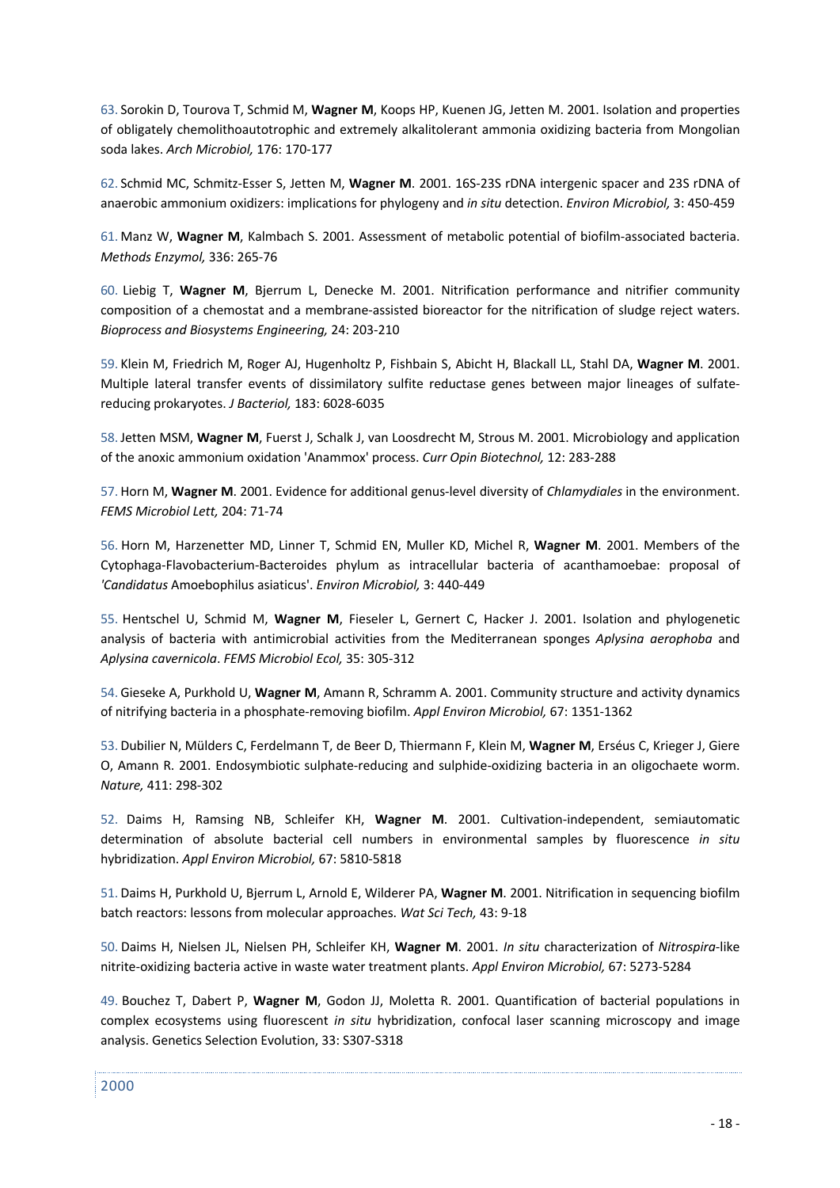63. Sorokin D, Tourova T, Schmid M, **Wagner M**, Koops HP, Kuenen JG, Jetten M. 2001. Isolation and properties of obligately chemolithoautotrophic and extremely alkalitolerant ammonia oxidizing bacteria from Mongolian soda lakes. *Arch Microbiol,* 176: 170-177

62. Schmid MC, Schmitz-Esser S, Jetten M, **Wagner M**. 2001. 16S-23S rDNA intergenic spacer and 23S rDNA of anaerobic ammonium oxidizers: implications for phylogeny and *in situ* detection. *Environ Microbiol,* 3: 450-459

61. Manz W, **Wagner M**, Kalmbach S. 2001. Assessment of metabolic potential of biofilm-associated bacteria. *Methods Enzymol,* 336: 265-76

60. Liebig T, **Wagner M**, Bjerrum L, Denecke M. 2001. Nitrification performance and nitrifier community composition of a chemostat and a membrane-assisted bioreactor for the nitrification of sludge reject waters. *Bioprocess and Biosystems Engineering,* 24: 203-210

59. Klein M, Friedrich M, Roger AJ, Hugenholtz P, Fishbain S, Abicht H, Blackall LL, Stahl DA, **Wagner M**. 2001. Multiple lateral transfer events of dissimilatory sulfite reductase genes between major lineages of sulfatereducing prokaryotes. *J Bacteriol,* 183: 6028-6035

58.Jetten MSM, **Wagner M**, Fuerst J, Schalk J, van Loosdrecht M, Strous M. 2001. Microbiology and application of the anoxic ammonium oxidation 'Anammox' process. *Curr Opin Biotechnol,* 12: 283-288

57. Horn M, **Wagner M**. 2001. Evidence for additional genus-level diversity of *Chlamydiales* in the environment. *FEMS Microbiol Lett,* 204: 71-74

56. Horn M, Harzenetter MD, Linner T, Schmid EN, Muller KD, Michel R, **Wagner M**. 2001. Members of the Cytophaga-Flavobacterium-Bacteroides phylum as intracellular bacteria of acanthamoebae: proposal of *'Candidatus* Amoebophilus asiaticus'. *Environ Microbiol,* 3: 440-449

55. Hentschel U, Schmid M, **Wagner M**, Fieseler L, Gernert C, Hacker J. 2001. Isolation and phylogenetic analysis of bacteria with antimicrobial activities from the Mediterranean sponges *Aplysina aerophoba* and *Aplysina cavernicola*. *FEMS Microbiol Ecol,* 35: 305-312

54. Gieseke A, Purkhold U, **Wagner M**, Amann R, Schramm A. 2001. Community structure and activity dynamics of nitrifying bacteria in a phosphate-removing biofilm. *Appl Environ Microbiol,* 67: 1351-1362

53. Dubilier N, Mülders C, Ferdelmann T, de Beer D, Thiermann F, Klein M, **Wagner M**, Erséus C, Krieger J, Giere O, Amann R. 2001. Endosymbiotic sulphate-reducing and sulphide-oxidizing bacteria in an oligochaete worm. *Nature,* 411: 298-302

52. Daims H, Ramsing NB, Schleifer KH, **Wagner M**. 2001. Cultivation-independent, semiautomatic determination of absolute bacterial cell numbers in environmental samples by fluorescence *in situ* hybridization. *Appl Environ Microbiol,* 67: 5810-5818

51. Daims H, Purkhold U, Bjerrum L, Arnold E, Wilderer PA, **Wagner M**. 2001. Nitrification in sequencing biofilm batch reactors: lessons from molecular approaches. *Wat Sci Tech,* 43: 9-18

50. Daims H, Nielsen JL, Nielsen PH, Schleifer KH, **Wagner M**. 2001. *In situ* characterization of *Nitrospira*-like nitrite-oxidizing bacteria active in waste water treatment plants. *Appl Environ Microbiol,* 67: 5273-5284

49. Bouchez T, Dabert P, **Wagner M**, Godon JJ, Moletta R. 2001. Quantification of bacterial populations in complex ecosystems using fluorescent *in situ* hybridization, confocal laser scanning microscopy and image analysis. Genetics Selection Evolution, 33: S307-S318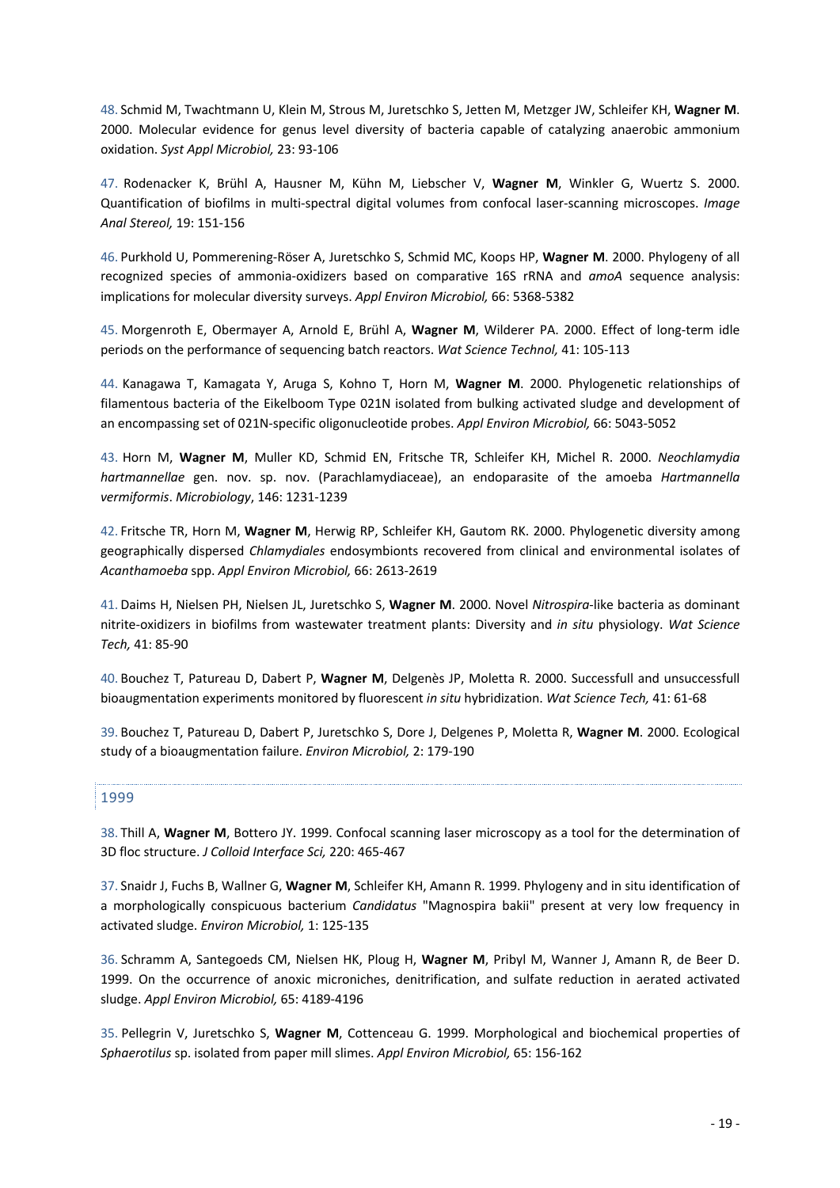48. Schmid M, Twachtmann U, Klein M, Strous M, Juretschko S, Jetten M, Metzger JW, Schleifer KH, **Wagner M**. 2000. Molecular evidence for genus level diversity of bacteria capable of catalyzing anaerobic ammonium oxidation. *Syst Appl Microbiol,* 23: 93-106

47. Rodenacker K, Brühl A, Hausner M, Kühn M, Liebscher V, **Wagner M**, Winkler G, Wuertz S. 2000. Quantification of biofilms in multi-spectral digital volumes from confocal laser-scanning microscopes. *Image Anal Stereol,* 19: 151-156

46. Purkhold U, Pommerening-Röser A, Juretschko S, Schmid MC, Koops HP, **Wagner M**. 2000. Phylogeny of all recognized species of ammonia-oxidizers based on comparative 16S rRNA and *amoA* sequence analysis: implications for molecular diversity surveys. *Appl Environ Microbiol,* 66: 5368-5382

45. Morgenroth E, Obermayer A, Arnold E, Brühl A, **Wagner M**, Wilderer PA. 2000. Effect of long-term idle periods on the performance of sequencing batch reactors. *Wat Science Technol,* 41: 105-113

44. Kanagawa T, Kamagata Y, Aruga S, Kohno T, Horn M, **Wagner M**. 2000. Phylogenetic relationships of filamentous bacteria of the Eikelboom Type 021N isolated from bulking activated sludge and development of an encompassing set of 021N-specific oligonucleotide probes. *Appl Environ Microbiol,* 66: 5043-5052

43. Horn M, **Wagner M**, Muller KD, Schmid EN, Fritsche TR, Schleifer KH, Michel R. 2000. *Neochlamydia hartmannellae* gen. nov. sp. nov. (Parachlamydiaceae), an endoparasite of the amoeba *Hartmannella vermiformis*. *Microbiology*, 146: 1231-1239

42. Fritsche TR, Horn M, **Wagner M**, Herwig RP, Schleifer KH, Gautom RK. 2000. Phylogenetic diversity among geographically dispersed *Chlamydiales* endosymbionts recovered from clinical and environmental isolates of *Acanthamoeba* spp. *Appl Environ Microbiol,* 66: 2613-2619

41. Daims H, Nielsen PH, Nielsen JL, Juretschko S, **Wagner M**. 2000. Novel *Nitrospira*-like bacteria as dominant nitrite-oxidizers in biofilms from wastewater treatment plants: Diversity and *in situ* physiology. *Wat Science Tech,* 41: 85-90

40. Bouchez T, Patureau D, Dabert P, **Wagner M**, Delgenès JP, Moletta R. 2000. Successfull and unsuccessfull bioaugmentation experiments monitored by fluorescent *in situ* hybridization. *Wat Science Tech,* 41: 61-68

39. Bouchez T, Patureau D, Dabert P, Juretschko S, Dore J, Delgenes P, Moletta R, **Wagner M**. 2000. Ecological study of a bioaugmentation failure. *Environ Microbiol,* 2: 179-190

### 1999

38. Thill A, **Wagner M**, Bottero JY. 1999. Confocal scanning laser microscopy as a tool for the determination of 3D floc structure. *J Colloid Interface Sci,* 220: 465-467

37. Snaidr J, Fuchs B, Wallner G, **Wagner M**, Schleifer KH, Amann R. 1999. Phylogeny and in situ identification of a morphologically conspicuous bacterium *Candidatus* "Magnospira bakii" present at very low frequency in activated sludge. *Environ Microbiol,* 1: 125-135

36. Schramm A, Santegoeds CM, Nielsen HK, Ploug H, **Wagner M**, Pribyl M, Wanner J, Amann R, de Beer D. 1999. On the occurrence of anoxic microniches, denitrification, and sulfate reduction in aerated activated sludge. *Appl Environ Microbiol,* 65: 4189-4196

35. Pellegrin V, Juretschko S, **Wagner M**, Cottenceau G. 1999. Morphological and biochemical properties of *Sphaerotilus* sp. isolated from paper mill slimes. *Appl Environ Microbiol,* 65: 156-162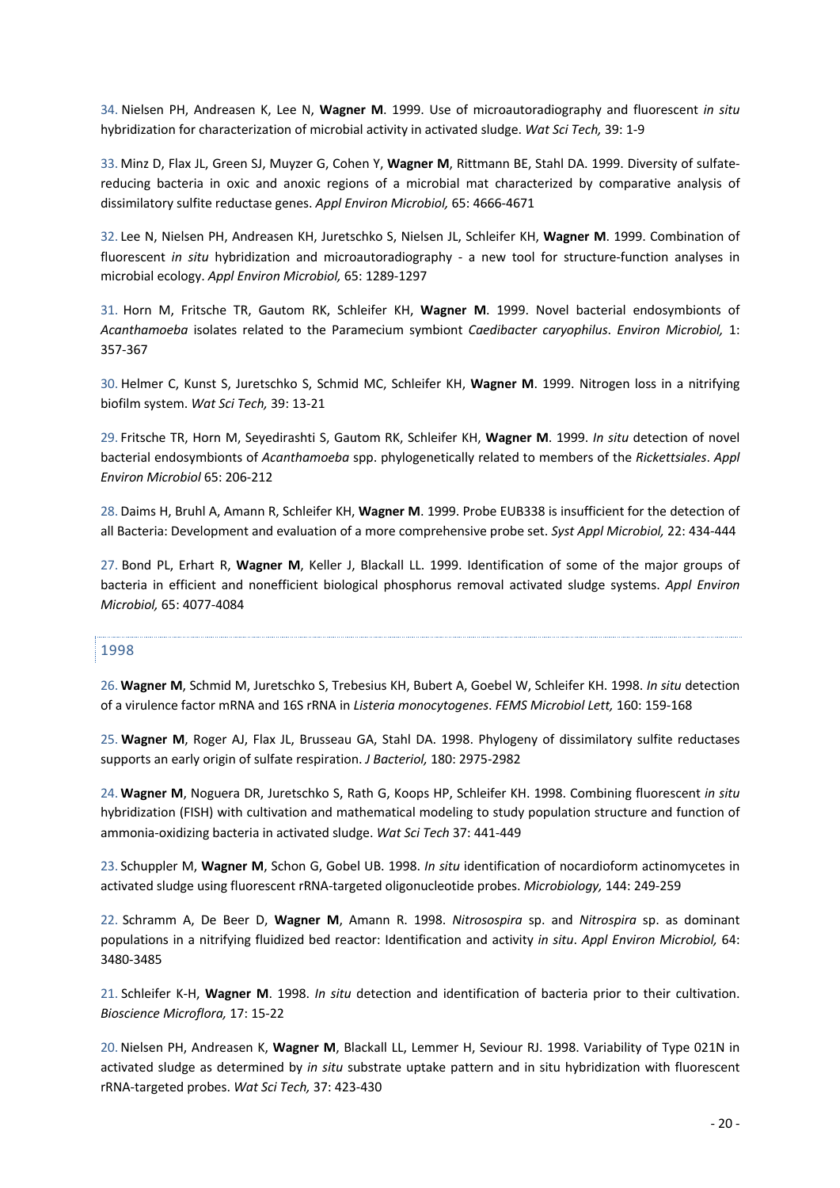34. Nielsen PH, Andreasen K, Lee N, **Wagner M**. 1999. Use of microautoradiography and fluorescent *in situ* hybridization for characterization of microbial activity in activated sludge. *Wat Sci Tech,* 39: 1-9

33. Minz D, Flax JL, Green SJ, Muyzer G, Cohen Y, **Wagner M**, Rittmann BE, Stahl DA. 1999. Diversity of sulfatereducing bacteria in oxic and anoxic regions of a microbial mat characterized by comparative analysis of dissimilatory sulfite reductase genes. *Appl Environ Microbiol,* 65: 4666-4671

32. Lee N, Nielsen PH, Andreasen KH, Juretschko S, Nielsen JL, Schleifer KH, **Wagner M**. 1999. Combination of fluorescent *in situ* hybridization and microautoradiography - a new tool for structure-function analyses in microbial ecology. *Appl Environ Microbiol,* 65: 1289-1297

31. Horn M, Fritsche TR, Gautom RK, Schleifer KH, **Wagner M**. 1999. Novel bacterial endosymbionts of *Acanthamoeba* isolates related to the Paramecium symbiont *Caedibacter caryophilus*. *Environ Microbiol,* 1: 357-367

30. Helmer C, Kunst S, Juretschko S, Schmid MC, Schleifer KH, **Wagner M**. 1999. Nitrogen loss in a nitrifying biofilm system. *Wat Sci Tech,* 39: 13-21

29. Fritsche TR, Horn M, Seyedirashti S, Gautom RK, Schleifer KH, **Wagner M**. 1999. *In situ* detection of novel bacterial endosymbionts of *Acanthamoeba* spp. phylogenetically related to members of the *Rickettsiales*. *Appl Environ Microbiol* 65: 206-212

28. Daims H, Bruhl A, Amann R, Schleifer KH, **Wagner M**. 1999. Probe EUB338 is insufficient for the detection of all Bacteria: Development and evaluation of a more comprehensive probe set. *Syst Appl Microbiol,* 22: 434-444

27. Bond PL, Erhart R, **Wagner M**, Keller J, Blackall LL. 1999. Identification of some of the major groups of bacteria in efficient and nonefficient biological phosphorus removal activated sludge systems. *Appl Environ Microbiol,* 65: 4077-4084

### 1998

26. **Wagner M**, Schmid M, Juretschko S, Trebesius KH, Bubert A, Goebel W, Schleifer KH. 1998. *In situ* detection of a virulence factor mRNA and 16S rRNA in *Listeria monocytogenes*. *FEMS Microbiol Lett,* 160: 159-168

25. **Wagner M**, Roger AJ, Flax JL, Brusseau GA, Stahl DA. 1998. Phylogeny of dissimilatory sulfite reductases supports an early origin of sulfate respiration. *J Bacteriol,* 180: 2975-2982

24. **Wagner M**, Noguera DR, Juretschko S, Rath G, Koops HP, Schleifer KH. 1998. Combining fluorescent *in situ* hybridization (FISH) with cultivation and mathematical modeling to study population structure and function of ammonia-oxidizing bacteria in activated sludge. *Wat Sci Tech* 37: 441-449

23. Schuppler M, **Wagner M**, Schon G, Gobel UB. 1998. *In situ* identification of nocardioform actinomycetes in activated sludge using fluorescent rRNA-targeted oligonucleotide probes. *Microbiology,* 144: 249-259

22. Schramm A, De Beer D, **Wagner M**, Amann R. 1998. *Nitrosospira* sp. and *Nitrospira* sp. as dominant populations in a nitrifying fluidized bed reactor: Identification and activity *in situ*. *Appl Environ Microbiol,* 64: 3480-3485

21. Schleifer K-H, **Wagner M**. 1998. *In situ* detection and identification of bacteria prior to their cultivation. *Bioscience Microflora,* 17: 15-22

20.Nielsen PH, Andreasen K, **Wagner M**, Blackall LL, Lemmer H, Seviour RJ. 1998. Variability of Type 021N in activated sludge as determined by *in situ* substrate uptake pattern and in situ hybridization with fluorescent rRNA-targeted probes. *Wat Sci Tech,* 37: 423-430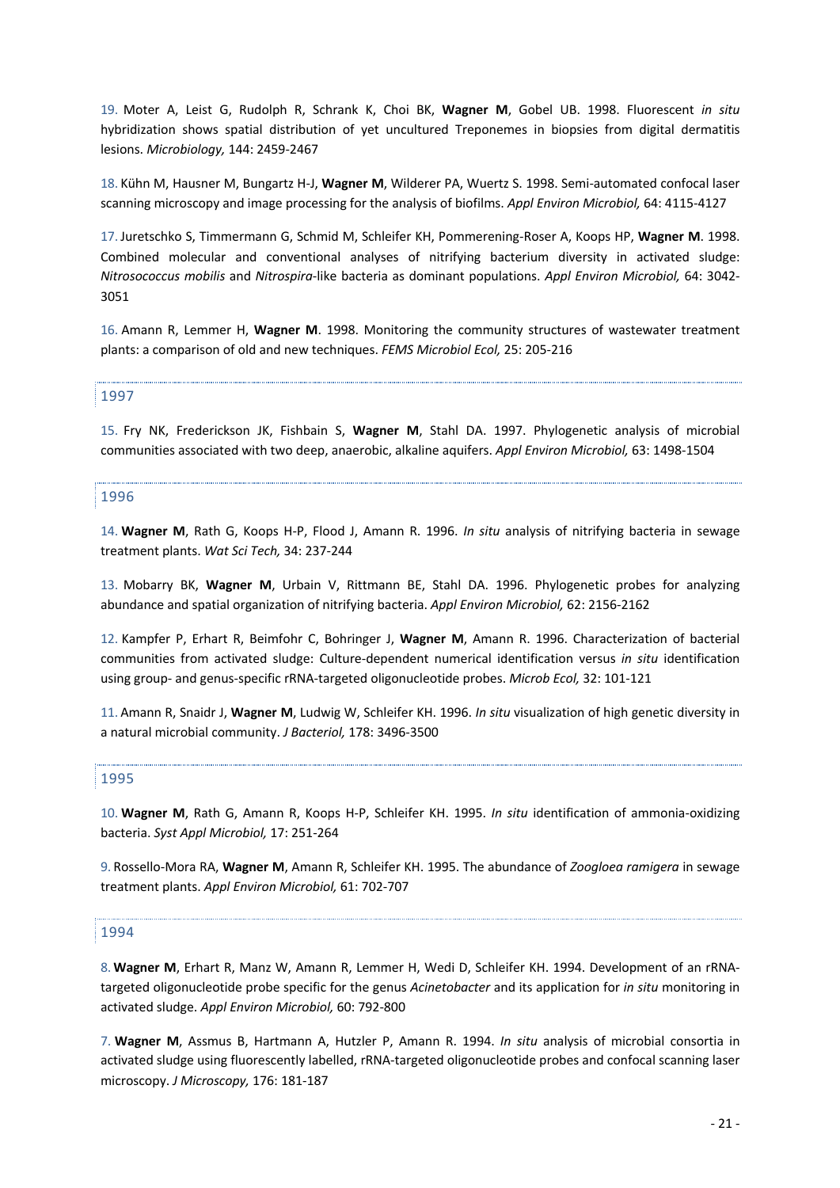19. Moter A, Leist G, Rudolph R, Schrank K, Choi BK, **Wagner M**, Gobel UB. 1998. Fluorescent *in situ* hybridization shows spatial distribution of yet uncultured Treponemes in biopsies from digital dermatitis lesions. *Microbiology,* 144: 2459-2467

18. Kühn M, Hausner M, Bungartz H-J, **Wagner M**, Wilderer PA, Wuertz S. 1998. Semi-automated confocal laser scanning microscopy and image processing for the analysis of biofilms. *Appl Environ Microbiol,* 64: 4115-4127

17.Juretschko S, Timmermann G, Schmid M, Schleifer KH, Pommerening-Roser A, Koops HP, **Wagner M**. 1998. Combined molecular and conventional analyses of nitrifying bacterium diversity in activated sludge: *Nitrosococcus mobilis* and *Nitrospira*-like bacteria as dominant populations. *Appl Environ Microbiol,* 64: 3042- 3051

16. Amann R, Lemmer H, **Wagner M**. 1998. Monitoring the community structures of wastewater treatment plants: a comparison of old and new techniques. *FEMS Microbiol Ecol,* 25: 205-216

### 1997

15. Fry NK, Frederickson JK, Fishbain S, **Wagner M**, Stahl DA. 1997. Phylogenetic analysis of microbial communities associated with two deep, anaerobic, alkaline aquifers. *Appl Environ Microbiol,* 63: 1498-1504

#### 1996

14. **Wagner M**, Rath G, Koops H-P, Flood J, Amann R. 1996. *In situ* analysis of nitrifying bacteria in sewage treatment plants. *Wat Sci Tech,* 34: 237-244

13. Mobarry BK, **Wagner M**, Urbain V, Rittmann BE, Stahl DA. 1996. Phylogenetic probes for analyzing abundance and spatial organization of nitrifying bacteria. *Appl Environ Microbiol,* 62: 2156-2162

12. Kampfer P, Erhart R, Beimfohr C, Bohringer J, **Wagner M**, Amann R. 1996. Characterization of bacterial communities from activated sludge: Culture-dependent numerical identification versus *in situ* identification using group- and genus-specific rRNA-targeted oligonucleotide probes. *Microb Ecol,* 32: 101-121

11. Amann R, Snaidr J, **Wagner M**, Ludwig W, Schleifer KH. 1996. *In situ* visualization of high genetic diversity in a natural microbial community. *J Bacteriol,* 178: 3496-3500

### 1995

10. **Wagner M**, Rath G, Amann R, Koops H-P, Schleifer KH. 1995. *In situ* identification of ammonia-oxidizing bacteria. *Syst Appl Microbiol,* 17: 251-264

9. Rossello-Mora RA, **Wagner M**, Amann R, Schleifer KH. 1995. The abundance of *Zoogloea ramigera* in sewage treatment plants. *Appl Environ Microbiol,* 61: 702-707

#### 1994

8. **Wagner M**, Erhart R, Manz W, Amann R, Lemmer H, Wedi D, Schleifer KH. 1994. Development of an rRNAtargeted oligonucleotide probe specific for the genus *Acinetobacter* and its application for *in situ* monitoring in activated sludge. *Appl Environ Microbiol,* 60: 792-800

7. **Wagner M**, Assmus B, Hartmann A, Hutzler P, Amann R. 1994. *In situ* analysis of microbial consortia in activated sludge using fluorescently labelled, rRNA-targeted oligonucleotide probes and confocal scanning laser microscopy. *J Microscopy,* 176: 181-187